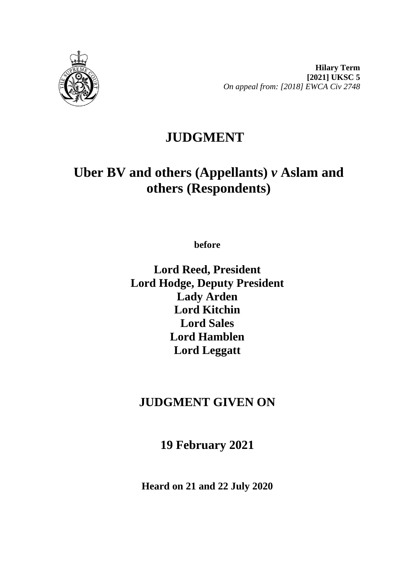

**Hilary Term [2021] UKSC 5** *On appeal from: [2018] EWCA Civ 2748*

# **JUDGMENT**

# **Uber BV and others (Appellants)** *v* **Aslam and others (Respondents)**

**before** 

**Lord Reed, President Lord Hodge, Deputy President Lady Arden Lord Kitchin Lord Sales Lord Hamblen Lord Leggatt**

# **JUDGMENT GIVEN ON**

**19 February 2021**

**Heard on 21 and 22 July 2020**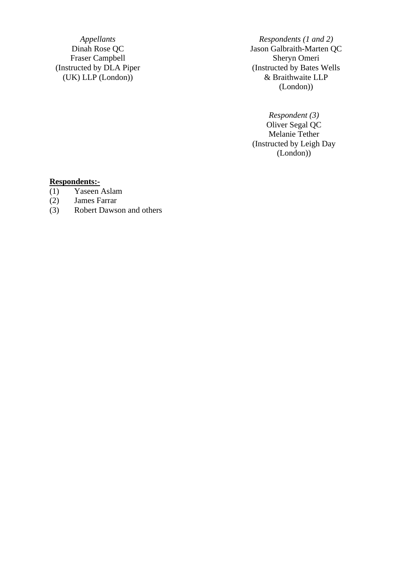Fraser Campbell (Instructed by DLA Piper (UK) LLP (London))

*Appellants Respondents (1 and 2)*<br>Dinah Rose QC *Jason Galbraith-Marten Q* Jason Galbraith-Marten QC<br>Sheryn Omeri (Instructed by Bates Wells & Braithwaite LLP (London))

> *Respondent (3)* Oliver Segal QC Melanie Tether (Instructed by Leigh Day (London))

#### **Respondents:-**

- (1) Yaseen Aslam
- (2) James Farrar
- Robert Dawson and others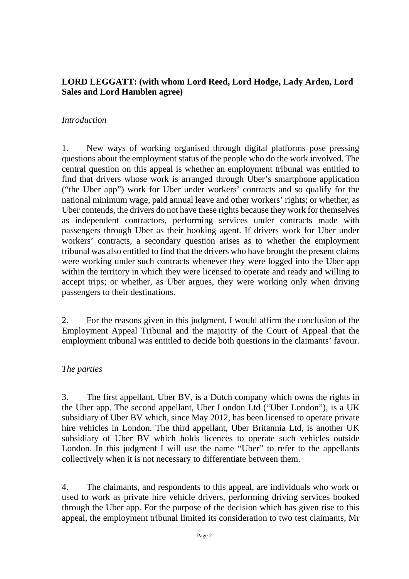#### **LORD LEGGATT: (with whom Lord Reed, Lord Hodge, Lady Arden, Lord Sales and Lord Hamblen agree)**

#### *Introduction*

1. New ways of working organised through digital platforms pose pressing questions about the employment status of the people who do the work involved. The central question on this appeal is whether an employment tribunal was entitled to find that drivers whose work is arranged through Uber's smartphone application ("the Uber app") work for Uber under workers' contracts and so qualify for the national minimum wage, paid annual leave and other workers' rights; or whether, as Uber contends, the drivers do not have these rights because they work for themselves as independent contractors, performing services under contracts made with passengers through Uber as their booking agent. If drivers work for Uber under workers' contracts, a secondary question arises as to whether the employment tribunal was also entitled to find that the drivers who have brought the present claims were working under such contracts whenever they were logged into the Uber app within the territory in which they were licensed to operate and ready and willing to accept trips; or whether, as Uber argues, they were working only when driving passengers to their destinations.

2. For the reasons given in this judgment, I would affirm the conclusion of the Employment Appeal Tribunal and the majority of the Court of Appeal that the employment tribunal was entitled to decide both questions in the claimants' favour.

#### *The parties*

3. The first appellant, Uber BV, is a Dutch company which owns the rights in the Uber app. The second appellant, Uber London Ltd ("Uber London"), is a UK subsidiary of Uber BV which, since May 2012, has been licensed to operate private hire vehicles in London. The third appellant, Uber Britannia Ltd, is another UK subsidiary of Uber BV which holds licences to operate such vehicles outside London. In this judgment I will use the name "Uber" to refer to the appellants collectively when it is not necessary to differentiate between them.

4. The claimants, and respondents to this appeal, are individuals who work or used to work as private hire vehicle drivers, performing driving services booked through the Uber app. For the purpose of the decision which has given rise to this appeal, the employment tribunal limited its consideration to two test claimants, Mr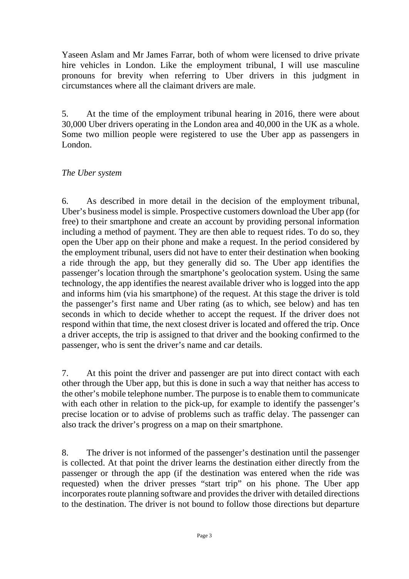Yaseen Aslam and Mr James Farrar, both of whom were licensed to drive private hire vehicles in London. Like the employment tribunal, I will use masculine pronouns for brevity when referring to Uber drivers in this judgment in circumstances where all the claimant drivers are male.

5. At the time of the employment tribunal hearing in 2016, there were about 30,000 Uber drivers operating in the London area and 40,000 in the UK as a whole. Some two million people were registered to use the Uber app as passengers in London.

#### *The Uber system*

6. As described in more detail in the decision of the employment tribunal, Uber's business model is simple. Prospective customers download the Uber app (for free) to their smartphone and create an account by providing personal information including a method of payment. They are then able to request rides. To do so, they open the Uber app on their phone and make a request. In the period considered by the employment tribunal, users did not have to enter their destination when booking a ride through the app, but they generally did so. The Uber app identifies the passenger's location through the smartphone's geolocation system. Using the same technology, the app identifies the nearest available driver who is logged into the app and informs him (via his smartphone) of the request. At this stage the driver is told the passenger's first name and Uber rating (as to which, see below) and has ten seconds in which to decide whether to accept the request. If the driver does not respond within that time, the next closest driver is located and offered the trip. Once a driver accepts, the trip is assigned to that driver and the booking confirmed to the passenger, who is sent the driver's name and car details.

7. At this point the driver and passenger are put into direct contact with each other through the Uber app, but this is done in such a way that neither has access to the other's mobile telephone number. The purpose is to enable them to communicate with each other in relation to the pick-up, for example to identify the passenger's precise location or to advise of problems such as traffic delay. The passenger can also track the driver's progress on a map on their smartphone.

8. The driver is not informed of the passenger's destination until the passenger is collected. At that point the driver learns the destination either directly from the passenger or through the app (if the destination was entered when the ride was requested) when the driver presses "start trip" on his phone. The Uber app incorporates route planning software and provides the driver with detailed directions to the destination. The driver is not bound to follow those directions but departure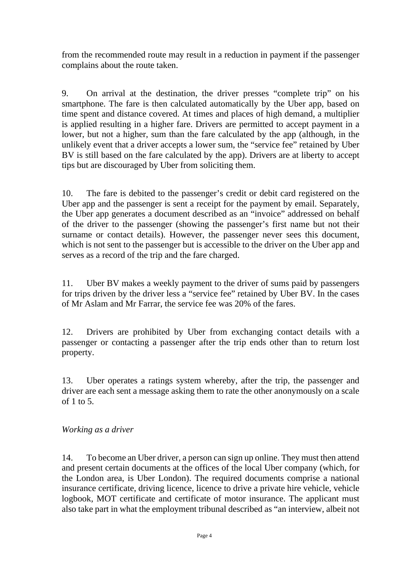from the recommended route may result in a reduction in payment if the passenger complains about the route taken.

9. On arrival at the destination, the driver presses "complete trip" on his smartphone. The fare is then calculated automatically by the Uber app, based on time spent and distance covered. At times and places of high demand, a multiplier is applied resulting in a higher fare. Drivers are permitted to accept payment in a lower, but not a higher, sum than the fare calculated by the app (although, in the unlikely event that a driver accepts a lower sum, the "service fee" retained by Uber BV is still based on the fare calculated by the app). Drivers are at liberty to accept tips but are discouraged by Uber from soliciting them.

10. The fare is debited to the passenger's credit or debit card registered on the Uber app and the passenger is sent a receipt for the payment by email. Separately, the Uber app generates a document described as an "invoice" addressed on behalf of the driver to the passenger (showing the passenger's first name but not their surname or contact details). However, the passenger never sees this document, which is not sent to the passenger but is accessible to the driver on the Uber app and serves as a record of the trip and the fare charged.

11. Uber BV makes a weekly payment to the driver of sums paid by passengers for trips driven by the driver less a "service fee" retained by Uber BV. In the cases of Mr Aslam and Mr Farrar, the service fee was 20% of the fares.

12. Drivers are prohibited by Uber from exchanging contact details with a passenger or contacting a passenger after the trip ends other than to return lost property.

13. Uber operates a ratings system whereby, after the trip, the passenger and driver are each sent a message asking them to rate the other anonymously on a scale of 1 to 5.

# *Working as a driver*

14. To become an Uber driver, a person can sign up online. They must then attend and present certain documents at the offices of the local Uber company (which, for the London area, is Uber London). The required documents comprise a national insurance certificate, driving licence, licence to drive a private hire vehicle, vehicle logbook, MOT certificate and certificate of motor insurance. The applicant must also take part in what the employment tribunal described as "an interview, albeit not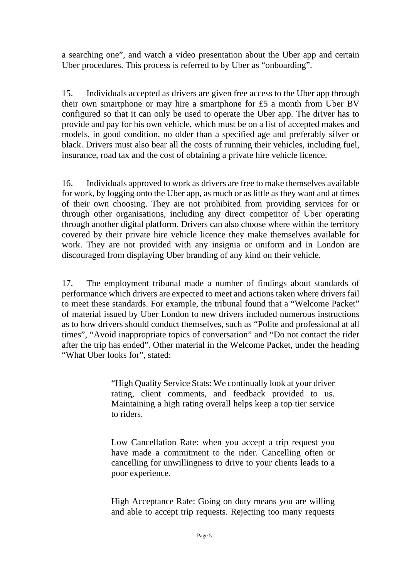a searching one", and watch a video presentation about the Uber app and certain Uber procedures. This process is referred to by Uber as "onboarding".

15. Individuals accepted as drivers are given free access to the Uber app through their own smartphone or may hire a smartphone for £5 a month from Uber BV configured so that it can only be used to operate the Uber app. The driver has to provide and pay for his own vehicle, which must be on a list of accepted makes and models, in good condition, no older than a specified age and preferably silver or black. Drivers must also bear all the costs of running their vehicles, including fuel, insurance, road tax and the cost of obtaining a private hire vehicle licence.

16. Individuals approved to work as drivers are free to make themselves available for work, by logging onto the Uber app, as much or as little as they want and at times of their own choosing. They are not prohibited from providing services for or through other organisations, including any direct competitor of Uber operating through another digital platform. Drivers can also choose where within the territory covered by their private hire vehicle licence they make themselves available for work. They are not provided with any insignia or uniform and in London are discouraged from displaying Uber branding of any kind on their vehicle.

17. The employment tribunal made a number of findings about standards of performance which drivers are expected to meet and actions taken where drivers fail to meet these standards. For example, the tribunal found that a "Welcome Packet" of material issued by Uber London to new drivers included numerous instructions as to how drivers should conduct themselves, such as "Polite and professional at all times", "Avoid inappropriate topics of conversation" and "Do not contact the rider after the trip has ended". Other material in the Welcome Packet, under the heading "What Uber looks for", stated:

> "High Quality Service Stats: We continually look at your driver rating, client comments, and feedback provided to us. Maintaining a high rating overall helps keep a top tier service to riders.

> Low Cancellation Rate: when you accept a trip request you have made a commitment to the rider. Cancelling often or cancelling for unwillingness to drive to your clients leads to a poor experience.

> High Acceptance Rate: Going on duty means you are willing and able to accept trip requests. Rejecting too many requests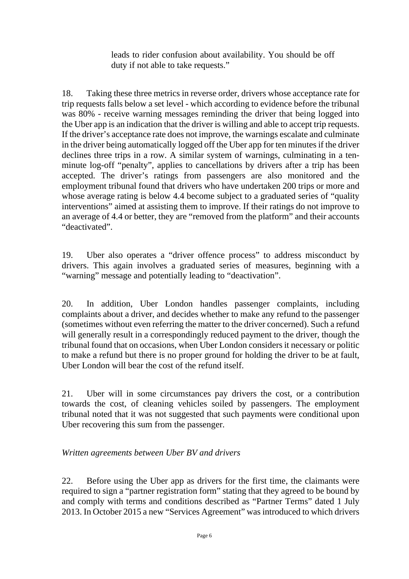leads to rider confusion about availability. You should be off duty if not able to take requests."

18. Taking these three metrics in reverse order, drivers whose acceptance rate for trip requests falls below a set level - which according to evidence before the tribunal was 80% - receive warning messages reminding the driver that being logged into the Uber app is an indication that the driver is willing and able to accept trip requests. If the driver's acceptance rate does not improve, the warnings escalate and culminate in the driver being automatically logged off the Uber app for ten minutes if the driver declines three trips in a row. A similar system of warnings, culminating in a tenminute log-off "penalty", applies to cancellations by drivers after a trip has been accepted. The driver's ratings from passengers are also monitored and the employment tribunal found that drivers who have undertaken 200 trips or more and whose average rating is below 4.4 become subject to a graduated series of "quality" interventions" aimed at assisting them to improve. If their ratings do not improve to an average of 4.4 or better, they are "removed from the platform" and their accounts "deactivated".

19. Uber also operates a "driver offence process" to address misconduct by drivers. This again involves a graduated series of measures, beginning with a "warning" message and potentially leading to "deactivation".

20. In addition, Uber London handles passenger complaints, including complaints about a driver, and decides whether to make any refund to the passenger (sometimes without even referring the matter to the driver concerned). Such a refund will generally result in a correspondingly reduced payment to the driver, though the tribunal found that on occasions, when Uber London considers it necessary or politic to make a refund but there is no proper ground for holding the driver to be at fault, Uber London will bear the cost of the refund itself.

21. Uber will in some circumstances pay drivers the cost, or a contribution towards the cost, of cleaning vehicles soiled by passengers. The employment tribunal noted that it was not suggested that such payments were conditional upon Uber recovering this sum from the passenger.

# *Written agreements between Uber BV and drivers*

22. Before using the Uber app as drivers for the first time, the claimants were required to sign a "partner registration form" stating that they agreed to be bound by and comply with terms and conditions described as "Partner Terms" dated 1 July 2013. In October 2015 a new "Services Agreement" was introduced to which drivers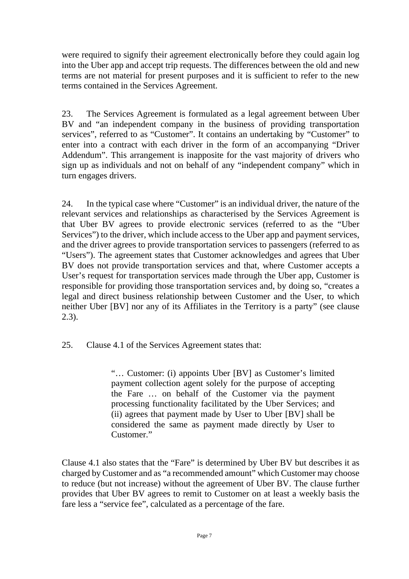were required to signify their agreement electronically before they could again log into the Uber app and accept trip requests. The differences between the old and new terms are not material for present purposes and it is sufficient to refer to the new terms contained in the Services Agreement.

23. The Services Agreement is formulated as a legal agreement between Uber BV and "an independent company in the business of providing transportation services", referred to as "Customer". It contains an undertaking by "Customer" to enter into a contract with each driver in the form of an accompanying "Driver Addendum". This arrangement is inapposite for the vast majority of drivers who sign up as individuals and not on behalf of any "independent company" which in turn engages drivers.

24. In the typical case where "Customer" is an individual driver, the nature of the relevant services and relationships as characterised by the Services Agreement is that Uber BV agrees to provide electronic services (referred to as the "Uber Services") to the driver, which include access to the Uber app and payment services, and the driver agrees to provide transportation services to passengers (referred to as "Users"). The agreement states that Customer acknowledges and agrees that Uber BV does not provide transportation services and that, where Customer accepts a User's request for transportation services made through the Uber app. Customer is responsible for providing those transportation services and, by doing so, "creates a legal and direct business relationship between Customer and the User, to which neither Uber [BV] nor any of its Affiliates in the Territory is a party" (see clause 2.3).

25. Clause 4.1 of the Services Agreement states that:

"… Customer: (i) appoints Uber [BV] as Customer's limited payment collection agent solely for the purpose of accepting the Fare … on behalf of the Customer via the payment processing functionality facilitated by the Uber Services; and (ii) agrees that payment made by User to Uber [BV] shall be considered the same as payment made directly by User to Customer."

Clause 4.1 also states that the "Fare" is determined by Uber BV but describes it as charged by Customer and as "a recommended amount" which Customer may choose to reduce (but not increase) without the agreement of Uber BV. The clause further provides that Uber BV agrees to remit to Customer on at least a weekly basis the fare less a "service fee", calculated as a percentage of the fare.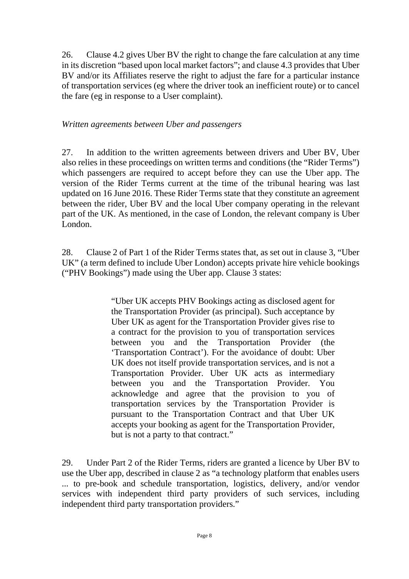26. Clause 4.2 gives Uber BV the right to change the fare calculation at any time in its discretion "based upon local market factors"; and clause 4.3 provides that Uber BV and/or its Affiliates reserve the right to adjust the fare for a particular instance of transportation services (eg where the driver took an inefficient route) or to cancel the fare (eg in response to a User complaint).

#### *Written agreements between Uber and passengers*

27. In addition to the written agreements between drivers and Uber BV, Uber also relies in these proceedings on written terms and conditions (the "Rider Terms") which passengers are required to accept before they can use the Uber app. The version of the Rider Terms current at the time of the tribunal hearing was last updated on 16 June 2016. These Rider Terms state that they constitute an agreement between the rider, Uber BV and the local Uber company operating in the relevant part of the UK. As mentioned, in the case of London, the relevant company is Uber London.

28. Clause 2 of Part 1 of the Rider Terms states that, as set out in clause 3, "Uber UK" (a term defined to include Uber London) accepts private hire vehicle bookings ("PHV Bookings") made using the Uber app. Clause 3 states:

> "Uber UK accepts PHV Bookings acting as disclosed agent for the Transportation Provider (as principal). Such acceptance by Uber UK as agent for the Transportation Provider gives rise to a contract for the provision to you of transportation services between you and the Transportation Provider (the 'Transportation Contract'). For the avoidance of doubt: Uber UK does not itself provide transportation services, and is not a Transportation Provider. Uber UK acts as intermediary between you and the Transportation Provider. You acknowledge and agree that the provision to you of transportation services by the Transportation Provider is pursuant to the Transportation Contract and that Uber UK accepts your booking as agent for the Transportation Provider, but is not a party to that contract."

29. Under Part 2 of the Rider Terms, riders are granted a licence by Uber BV to use the Uber app, described in clause 2 as "a technology platform that enables users ... to pre-book and schedule transportation, logistics, delivery, and/or vendor services with independent third party providers of such services, including independent third party transportation providers."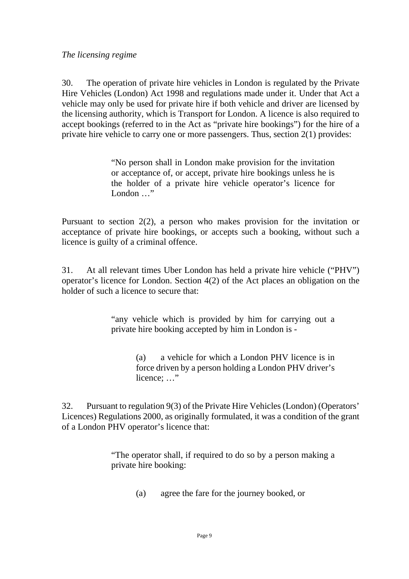*The licensing regime*

30. The operation of private hire vehicles in London is regulated by the Private Hire Vehicles (London) Act 1998 and regulations made under it. Under that Act a vehicle may only be used for private hire if both vehicle and driver are licensed by the licensing authority, which is Transport for London. A licence is also required to accept bookings (referred to in the Act as "private hire bookings") for the hire of a private hire vehicle to carry one or more passengers. Thus, section 2(1) provides:

> "No person shall in London make provision for the invitation or acceptance of, or accept, private hire bookings unless he is the holder of a private hire vehicle operator's licence for London ..."

Pursuant to section 2(2), a person who makes provision for the invitation or acceptance of private hire bookings, or accepts such a booking, without such a licence is guilty of a criminal offence.

31. At all relevant times Uber London has held a private hire vehicle ("PHV") operator's licence for London. Section 4(2) of the Act places an obligation on the holder of such a licence to secure that:

> "any vehicle which is provided by him for carrying out a private hire booking accepted by him in London is -

> > (a) a vehicle for which a London PHV licence is in force driven by a person holding a London PHV driver's licence; ..."

32. Pursuant to regulation 9(3) of the Private Hire Vehicles (London) (Operators' Licences) Regulations 2000, as originally formulated, it was a condition of the grant of a London PHV operator's licence that:

> "The operator shall, if required to do so by a person making a private hire booking:

> > (a) agree the fare for the journey booked, or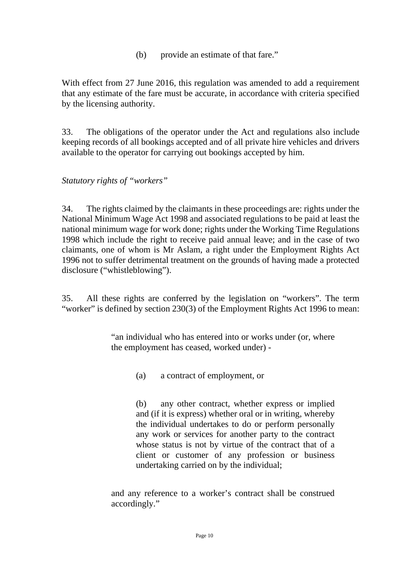(b) provide an estimate of that fare."

With effect from 27 June 2016, this regulation was amended to add a requirement that any estimate of the fare must be accurate, in accordance with criteria specified by the licensing authority.

33. The obligations of the operator under the Act and regulations also include keeping records of all bookings accepted and of all private hire vehicles and drivers available to the operator for carrying out bookings accepted by him.

*Statutory rights of "workers"*

34. The rights claimed by the claimants in these proceedings are: rights under the National Minimum Wage Act 1998 and associated regulations to be paid at least the national minimum wage for work done; rights under the Working Time Regulations 1998 which include the right to receive paid annual leave; and in the case of two claimants, one of whom is Mr Aslam, a right under the Employment Rights Act 1996 not to suffer detrimental treatment on the grounds of having made a protected disclosure ("whistleblowing").

35. All these rights are conferred by the legislation on "workers". The term "worker" is defined by section 230(3) of the Employment Rights Act 1996 to mean:

> "an individual who has entered into or works under (or, where the employment has ceased, worked under) -

> > (a) a contract of employment, or

(b) any other contract, whether express or implied and (if it is express) whether oral or in writing, whereby the individual undertakes to do or perform personally any work or services for another party to the contract whose status is not by virtue of the contract that of a client or customer of any profession or business undertaking carried on by the individual;

and any reference to a worker's contract shall be construed accordingly."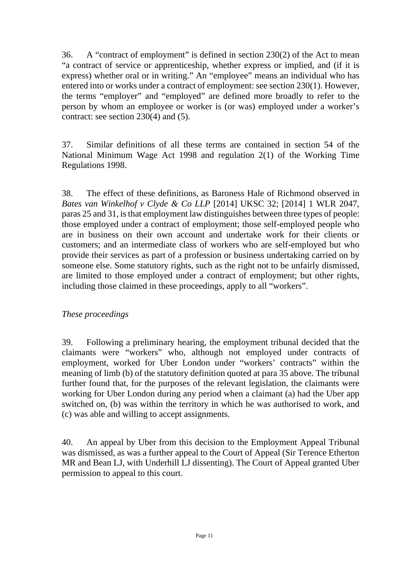36. A "contract of employment" is defined in section 230(2) of the Act to mean "a contract of service or apprenticeship, whether express or implied, and (if it is express) whether oral or in writing." An "employee" means an individual who has entered into or works under a contract of employment: see section 230(1). However, the terms "employer" and "employed" are defined more broadly to refer to the person by whom an employee or worker is (or was) employed under a worker's contract: see section 230(4) and (5).

37. Similar definitions of all these terms are contained in section 54 of the National Minimum Wage Act 1998 and regulation 2(1) of the Working Time Regulations 1998.

38. The effect of these definitions, as Baroness Hale of Richmond observed in *Bates van Winkelhof v Clyde & Co LLP* [2014] UKSC 32; [2014] 1 WLR 2047, paras 25 and 31, is that employment law distinguishes between three types of people: those employed under a contract of employment; those self-employed people who are in business on their own account and undertake work for their clients or customers; and an intermediate class of workers who are self-employed but who provide their services as part of a profession or business undertaking carried on by someone else. Some statutory rights, such as the right not to be unfairly dismissed, are limited to those employed under a contract of employment; but other rights, including those claimed in these proceedings, apply to all "workers".

# *These proceedings*

39. Following a preliminary hearing, the employment tribunal decided that the claimants were "workers" who, although not employed under contracts of employment, worked for Uber London under "workers' contracts" within the meaning of limb (b) of the statutory definition quoted at para 35 above. The tribunal further found that, for the purposes of the relevant legislation, the claimants were working for Uber London during any period when a claimant (a) had the Uber app switched on, (b) was within the territory in which he was authorised to work, and (c) was able and willing to accept assignments.

40. An appeal by Uber from this decision to the Employment Appeal Tribunal was dismissed, as was a further appeal to the Court of Appeal (Sir Terence Etherton MR and Bean LJ, with Underhill LJ dissenting). The Court of Appeal granted Uber permission to appeal to this court.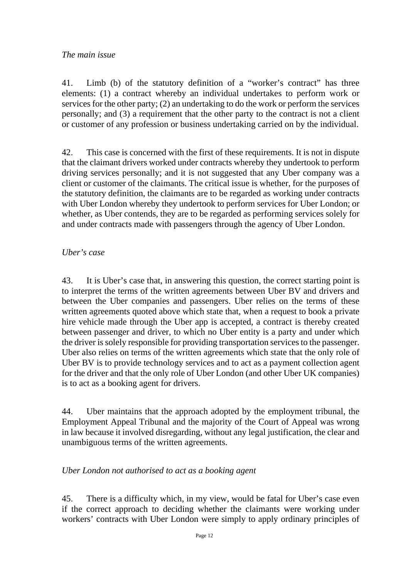#### *The main issue*

41. Limb (b) of the statutory definition of a "worker's contract" has three elements: (1) a contract whereby an individual undertakes to perform work or services for the other party; (2) an undertaking to do the work or perform the services personally; and (3) a requirement that the other party to the contract is not a client or customer of any profession or business undertaking carried on by the individual.

42. This case is concerned with the first of these requirements. It is not in dispute that the claimant drivers worked under contracts whereby they undertook to perform driving services personally; and it is not suggested that any Uber company was a client or customer of the claimants. The critical issue is whether, for the purposes of the statutory definition, the claimants are to be regarded as working under contracts with Uber London whereby they undertook to perform services for Uber London; or whether, as Uber contends, they are to be regarded as performing services solely for and under contracts made with passengers through the agency of Uber London.

#### *Uber's case*

43. It is Uber's case that, in answering this question, the correct starting point is to interpret the terms of the written agreements between Uber BV and drivers and between the Uber companies and passengers. Uber relies on the terms of these written agreements quoted above which state that, when a request to book a private hire vehicle made through the Uber app is accepted, a contract is thereby created between passenger and driver, to which no Uber entity is a party and under which the driver is solely responsible for providing transportation services to the passenger. Uber also relies on terms of the written agreements which state that the only role of Uber BV is to provide technology services and to act as a payment collection agent for the driver and that the only role of Uber London (and other Uber UK companies) is to act as a booking agent for drivers.

44. Uber maintains that the approach adopted by the employment tribunal, the Employment Appeal Tribunal and the majority of the Court of Appeal was wrong in law because it involved disregarding, without any legal justification, the clear and unambiguous terms of the written agreements.

#### *Uber London not authorised to act as a booking agent*

45. There is a difficulty which, in my view, would be fatal for Uber's case even if the correct approach to deciding whether the claimants were working under workers' contracts with Uber London were simply to apply ordinary principles of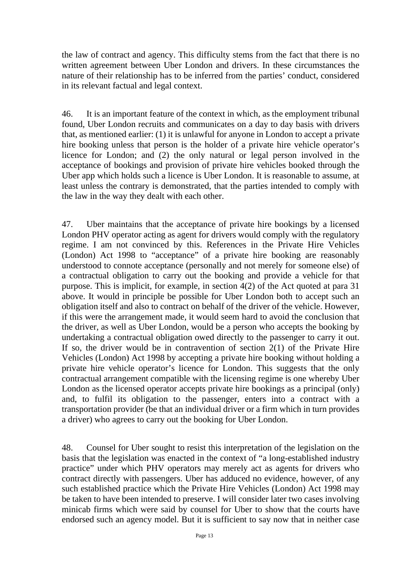the law of contract and agency. This difficulty stems from the fact that there is no written agreement between Uber London and drivers. In these circumstances the nature of their relationship has to be inferred from the parties' conduct, considered in its relevant factual and legal context.

46. It is an important feature of the context in which, as the employment tribunal found, Uber London recruits and communicates on a day to day basis with drivers that, as mentioned earlier: (1) it is unlawful for anyone in London to accept a private hire booking unless that person is the holder of a private hire vehicle operator's licence for London; and (2) the only natural or legal person involved in the acceptance of bookings and provision of private hire vehicles booked through the Uber app which holds such a licence is Uber London. It is reasonable to assume, at least unless the contrary is demonstrated, that the parties intended to comply with the law in the way they dealt with each other.

47. Uber maintains that the acceptance of private hire bookings by a licensed London PHV operator acting as agent for drivers would comply with the regulatory regime. I am not convinced by this. References in the Private Hire Vehicles (London) Act 1998 to "acceptance" of a private hire booking are reasonably understood to connote acceptance (personally and not merely for someone else) of a contractual obligation to carry out the booking and provide a vehicle for that purpose. This is implicit, for example, in section 4(2) of the Act quoted at para 31 above. It would in principle be possible for Uber London both to accept such an obligation itself and also to contract on behalf of the driver of the vehicle. However, if this were the arrangement made, it would seem hard to avoid the conclusion that the driver, as well as Uber London, would be a person who accepts the booking by undertaking a contractual obligation owed directly to the passenger to carry it out. If so, the driver would be in contravention of section  $2(1)$  of the Private Hire Vehicles (London) Act 1998 by accepting a private hire booking without holding a private hire vehicle operator's licence for London. This suggests that the only contractual arrangement compatible with the licensing regime is one whereby Uber London as the licensed operator accepts private hire bookings as a principal (only) and, to fulfil its obligation to the passenger, enters into a contract with a transportation provider (be that an individual driver or a firm which in turn provides a driver) who agrees to carry out the booking for Uber London.

48. Counsel for Uber sought to resist this interpretation of the legislation on the basis that the legislation was enacted in the context of "a long-established industry practice" under which PHV operators may merely act as agents for drivers who contract directly with passengers. Uber has adduced no evidence, however, of any such established practice which the Private Hire Vehicles (London) Act 1998 may be taken to have been intended to preserve. I will consider later two cases involving minicab firms which were said by counsel for Uber to show that the courts have endorsed such an agency model. But it is sufficient to say now that in neither case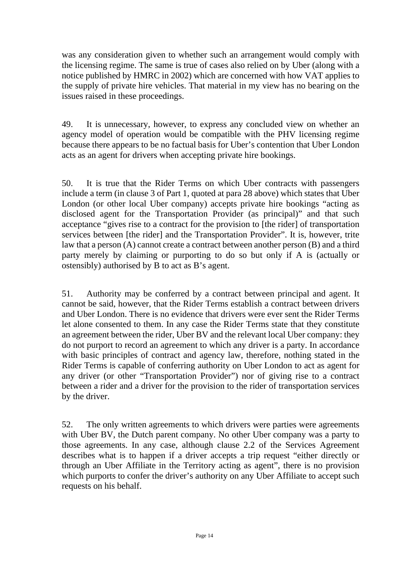was any consideration given to whether such an arrangement would comply with the licensing regime. The same is true of cases also relied on by Uber (along with a notice published by HMRC in 2002) which are concerned with how VAT applies to the supply of private hire vehicles. That material in my view has no bearing on the issues raised in these proceedings.

49. It is unnecessary, however, to express any concluded view on whether an agency model of operation would be compatible with the PHV licensing regime because there appears to be no factual basis for Uber's contention that Uber London acts as an agent for drivers when accepting private hire bookings.

50. It is true that the Rider Terms on which Uber contracts with passengers include a term (in clause 3 of Part 1, quoted at para 28 above) which states that Uber London (or other local Uber company) accepts private hire bookings "acting as disclosed agent for the Transportation Provider (as principal)" and that such acceptance "gives rise to a contract for the provision to [the rider] of transportation services between [the rider] and the Transportation Provider". It is, however, trite law that a person (A) cannot create a contract between another person (B) and a third party merely by claiming or purporting to do so but only if A is (actually or ostensibly) authorised by B to act as B's agent.

51. Authority may be conferred by a contract between principal and agent. It cannot be said, however, that the Rider Terms establish a contract between drivers and Uber London. There is no evidence that drivers were ever sent the Rider Terms let alone consented to them. In any case the Rider Terms state that they constitute an agreement between the rider, Uber BV and the relevant local Uber company: they do not purport to record an agreement to which any driver is a party. In accordance with basic principles of contract and agency law, therefore, nothing stated in the Rider Terms is capable of conferring authority on Uber London to act as agent for any driver (or other "Transportation Provider") nor of giving rise to a contract between a rider and a driver for the provision to the rider of transportation services by the driver.

52. The only written agreements to which drivers were parties were agreements with Uber BV, the Dutch parent company. No other Uber company was a party to those agreements. In any case, although clause 2.2 of the Services Agreement describes what is to happen if a driver accepts a trip request "either directly or through an Uber Affiliate in the Territory acting as agent", there is no provision which purports to confer the driver's authority on any Uber Affiliate to accept such requests on his behalf.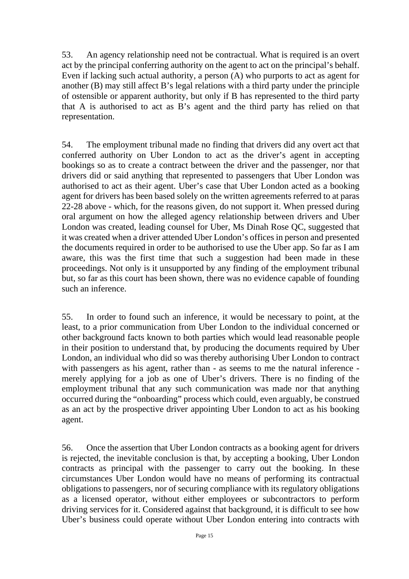53. An agency relationship need not be contractual. What is required is an overt act by the principal conferring authority on the agent to act on the principal's behalf. Even if lacking such actual authority, a person (A) who purports to act as agent for another (B) may still affect B's legal relations with a third party under the principle of ostensible or apparent authority, but only if B has represented to the third party that A is authorised to act as B's agent and the third party has relied on that representation.

54. The employment tribunal made no finding that drivers did any overt act that conferred authority on Uber London to act as the driver's agent in accepting bookings so as to create a contract between the driver and the passenger, nor that drivers did or said anything that represented to passengers that Uber London was authorised to act as their agent. Uber's case that Uber London acted as a booking agent for drivers has been based solely on the written agreements referred to at paras 22-28 above - which, for the reasons given, do not support it. When pressed during oral argument on how the alleged agency relationship between drivers and Uber London was created, leading counsel for Uber, Ms Dinah Rose QC, suggested that it was created when a driver attended Uber London's offices in person and presented the documents required in order to be authorised to use the Uber app. So far as I am aware, this was the first time that such a suggestion had been made in these proceedings. Not only is it unsupported by any finding of the employment tribunal but, so far as this court has been shown, there was no evidence capable of founding such an inference.

55. In order to found such an inference, it would be necessary to point, at the least, to a prior communication from Uber London to the individual concerned or other background facts known to both parties which would lead reasonable people in their position to understand that, by producing the documents required by Uber London, an individual who did so was thereby authorising Uber London to contract with passengers as his agent, rather than - as seems to me the natural inference merely applying for a job as one of Uber's drivers. There is no finding of the employment tribunal that any such communication was made nor that anything occurred during the "onboarding" process which could, even arguably, be construed as an act by the prospective driver appointing Uber London to act as his booking agent.

56. Once the assertion that Uber London contracts as a booking agent for drivers is rejected, the inevitable conclusion is that, by accepting a booking, Uber London contracts as principal with the passenger to carry out the booking. In these circumstances Uber London would have no means of performing its contractual obligations to passengers, nor of securing compliance with its regulatory obligations as a licensed operator, without either employees or subcontractors to perform driving services for it. Considered against that background, it is difficult to see how Uber's business could operate without Uber London entering into contracts with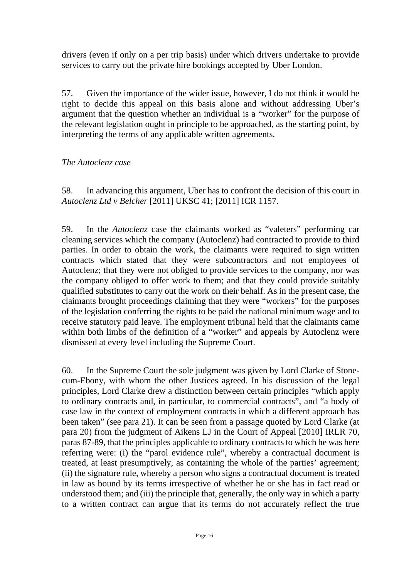drivers (even if only on a per trip basis) under which drivers undertake to provide services to carry out the private hire bookings accepted by Uber London.

57. Given the importance of the wider issue, however, I do not think it would be right to decide this appeal on this basis alone and without addressing Uber's argument that the question whether an individual is a "worker" for the purpose of the relevant legislation ought in principle to be approached, as the starting point, by interpreting the terms of any applicable written agreements.

#### *The Autoclenz case*

58. In advancing this argument, Uber has to confront the decision of this court in *Autoclenz Ltd v Belcher* [2011] UKSC 41; [2011] ICR 1157.

59. In the *Autoclenz* case the claimants worked as "valeters" performing car cleaning services which the company (Autoclenz) had contracted to provide to third parties. In order to obtain the work, the claimants were required to sign written contracts which stated that they were subcontractors and not employees of Autoclenz; that they were not obliged to provide services to the company, nor was the company obliged to offer work to them; and that they could provide suitably qualified substitutes to carry out the work on their behalf. As in the present case, the claimants brought proceedings claiming that they were "workers" for the purposes of the legislation conferring the rights to be paid the national minimum wage and to receive statutory paid leave. The employment tribunal held that the claimants came within both limbs of the definition of a "worker" and appeals by Autoclenz were dismissed at every level including the Supreme Court.

60. In the Supreme Court the sole judgment was given by Lord Clarke of Stonecum-Ebony, with whom the other Justices agreed. In his discussion of the legal principles, Lord Clarke drew a distinction between certain principles "which apply to ordinary contracts and, in particular, to commercial contracts", and "a body of case law in the context of employment contracts in which a different approach has been taken" (see para 21). It can be seen from a passage quoted by Lord Clarke (at para 20) from the judgment of Aikens LJ in the Court of Appeal [2010] IRLR 70, paras 87-89, that the principles applicable to ordinary contracts to which he was here referring were: (i) the "parol evidence rule", whereby a contractual document is treated, at least presumptively, as containing the whole of the parties' agreement; (ii) the signature rule, whereby a person who signs a contractual document is treated in law as bound by its terms irrespective of whether he or she has in fact read or understood them; and (iii) the principle that, generally, the only way in which a party to a written contract can argue that its terms do not accurately reflect the true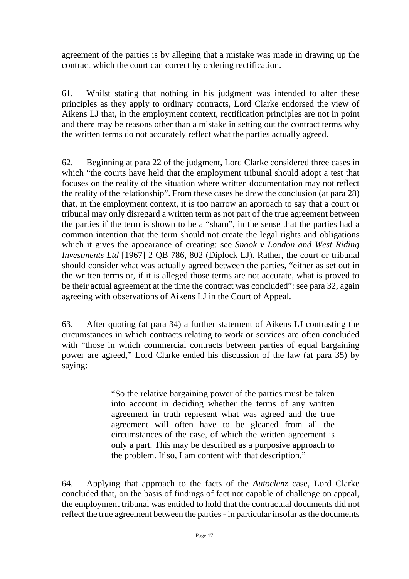agreement of the parties is by alleging that a mistake was made in drawing up the contract which the court can correct by ordering rectification.

61. Whilst stating that nothing in his judgment was intended to alter these principles as they apply to ordinary contracts, Lord Clarke endorsed the view of Aikens LJ that, in the employment context, rectification principles are not in point and there may be reasons other than a mistake in setting out the contract terms why the written terms do not accurately reflect what the parties actually agreed.

62. Beginning at para 22 of the judgment, Lord Clarke considered three cases in which "the courts have held that the employment tribunal should adopt a test that focuses on the reality of the situation where written documentation may not reflect the reality of the relationship". From these cases he drew the conclusion (at para 28) that, in the employment context, it is too narrow an approach to say that a court or tribunal may only disregard a written term as not part of the true agreement between the parties if the term is shown to be a "sham", in the sense that the parties had a common intention that the term should not create the legal rights and obligations which it gives the appearance of creating: see *Snook v London and West Riding Investments Ltd* [1967] 2 QB 786, 802 (Diplock LJ). Rather, the court or tribunal should consider what was actually agreed between the parties, "either as set out in the written terms or, if it is alleged those terms are not accurate, what is proved to be their actual agreement at the time the contract was concluded": see para 32, again agreeing with observations of Aikens LJ in the Court of Appeal.

63. After quoting (at para 34) a further statement of Aikens LJ contrasting the circumstances in which contracts relating to work or services are often concluded with "those in which commercial contracts between parties of equal bargaining power are agreed," Lord Clarke ended his discussion of the law (at para 35) by saying:

> "So the relative bargaining power of the parties must be taken into account in deciding whether the terms of any written agreement in truth represent what was agreed and the true agreement will often have to be gleaned from all the circumstances of the case, of which the written agreement is only a part. This may be described as a purposive approach to the problem. If so, I am content with that description."

64. Applying that approach to the facts of the *Autoclenz* case, Lord Clarke concluded that, on the basis of findings of fact not capable of challenge on appeal, the employment tribunal was entitled to hold that the contractual documents did not reflect the true agreement between the parties - in particular insofar as the documents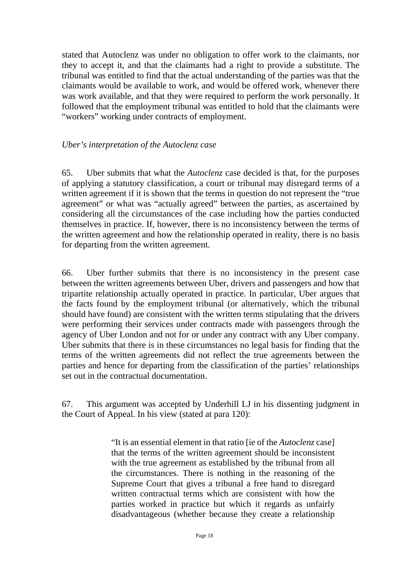stated that Autoclenz was under no obligation to offer work to the claimants, nor they to accept it, and that the claimants had a right to provide a substitute. The tribunal was entitled to find that the actual understanding of the parties was that the claimants would be available to work, and would be offered work, whenever there was work available, and that they were required to perform the work personally. It followed that the employment tribunal was entitled to hold that the claimants were "workers" working under contracts of employment.

#### *Uber's interpretation of the Autoclenz case*

65. Uber submits that what the *Autoclenz* case decided is that, for the purposes of applying a statutory classification, a court or tribunal may disregard terms of a written agreement if it is shown that the terms in question do not represent the "true agreement" or what was "actually agreed" between the parties, as ascertained by considering all the circumstances of the case including how the parties conducted themselves in practice. If, however, there is no inconsistency between the terms of the written agreement and how the relationship operated in reality, there is no basis for departing from the written agreement.

66. Uber further submits that there is no inconsistency in the present case between the written agreements between Uber, drivers and passengers and how that tripartite relationship actually operated in practice. In particular, Uber argues that the facts found by the employment tribunal (or alternatively, which the tribunal should have found) are consistent with the written terms stipulating that the drivers were performing their services under contracts made with passengers through the agency of Uber London and not for or under any contract with any Uber company. Uber submits that there is in these circumstances no legal basis for finding that the terms of the written agreements did not reflect the true agreements between the parties and hence for departing from the classification of the parties' relationships set out in the contractual documentation.

67. This argument was accepted by Underhill LJ in his dissenting judgment in the Court of Appeal. In his view (stated at para 120):

> "It is an essential element in that ratio [ie of the *Autoclenz* case] that the terms of the written agreement should be inconsistent with the true agreement as established by the tribunal from all the circumstances. There is nothing in the reasoning of the Supreme Court that gives a tribunal a free hand to disregard written contractual terms which are consistent with how the parties worked in practice but which it regards as unfairly disadvantageous (whether because they create a relationship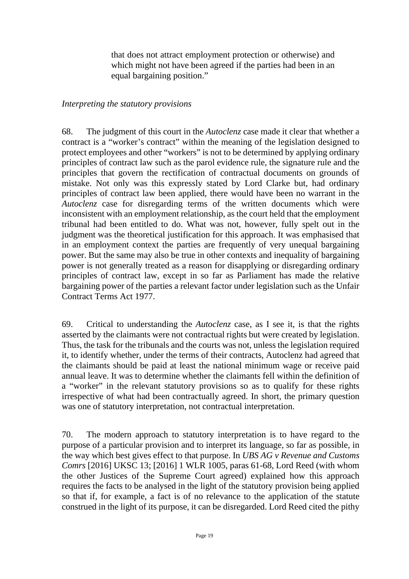that does not attract employment protection or otherwise) and which might not have been agreed if the parties had been in an equal bargaining position."

#### *Interpreting the statutory provisions*

68. The judgment of this court in the *Autoclenz* case made it clear that whether a contract is a "worker's contract" within the meaning of the legislation designed to protect employees and other "workers" is not to be determined by applying ordinary principles of contract law such as the parol evidence rule, the signature rule and the principles that govern the rectification of contractual documents on grounds of mistake. Not only was this expressly stated by Lord Clarke but, had ordinary principles of contract law been applied, there would have been no warrant in the *Autoclenz* case for disregarding terms of the written documents which were inconsistent with an employment relationship, as the court held that the employment tribunal had been entitled to do. What was not, however, fully spelt out in the judgment was the theoretical justification for this approach. It was emphasised that in an employment context the parties are frequently of very unequal bargaining power. But the same may also be true in other contexts and inequality of bargaining power is not generally treated as a reason for disapplying or disregarding ordinary principles of contract law, except in so far as Parliament has made the relative bargaining power of the parties a relevant factor under legislation such as the Unfair Contract Terms Act 1977.

69. Critical to understanding the *Autoclenz* case, as I see it, is that the rights asserted by the claimants were not contractual rights but were created by legislation. Thus, the task for the tribunals and the courts was not, unless the legislation required it, to identify whether, under the terms of their contracts, Autoclenz had agreed that the claimants should be paid at least the national minimum wage or receive paid annual leave. It was to determine whether the claimants fell within the definition of a "worker" in the relevant statutory provisions so as to qualify for these rights irrespective of what had been contractually agreed. In short, the primary question was one of statutory interpretation, not contractual interpretation.

70. The modern approach to statutory interpretation is to have regard to the purpose of a particular provision and to interpret its language, so far as possible, in the way which best gives effect to that purpose. In *UBS AG v Revenue and Customs Comrs* [2016] UKSC 13; [2016] 1 WLR 1005, paras 61-68, Lord Reed (with whom the other Justices of the Supreme Court agreed) explained how this approach requires the facts to be analysed in the light of the statutory provision being applied so that if, for example, a fact is of no relevance to the application of the statute construed in the light of its purpose, it can be disregarded. Lord Reed cited the pithy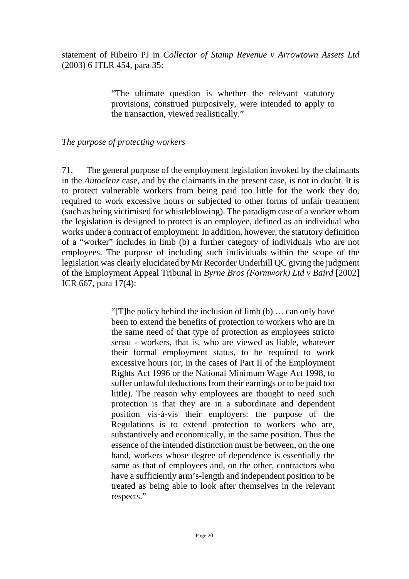statement of Ribeiro PJ in *Collector of Stamp Revenue v Arrowtown Assets Ltd* (2003) 6 ITLR 454, para 35:

> "The ultimate question is whether the relevant statutory provisions, construed purposively, were intended to apply to the transaction, viewed realistically."

*The purpose of protecting workers*

71. The general purpose of the employment legislation invoked by the claimants in the *Autoclenz* case, and by the claimants in the present case, is not in doubt. It is to protect vulnerable workers from being paid too little for the work they do, required to work excessive hours or subjected to other forms of unfair treatment (such as being victimised for whistleblowing). The paradigm case of a worker whom the legislation is designed to protect is an employee, defined as an individual who works under a contract of employment. In addition, however, the statutory definition of a "worker" includes in limb (b) a further category of individuals who are not employees. The purpose of including such individuals within the scope of the legislation was clearly elucidated by Mr Recorder Underhill QC giving the judgment of the Employment Appeal Tribunal in *Byrne Bros (Formwork) Ltd v Baird* [2002] ICR 667, para 17(4):

> "[T]he policy behind the inclusion of limb (b) … can only have been to extend the benefits of protection to workers who are in the same need of that type of protection as employees stricto sensu - workers, that is, who are viewed as liable, whatever their formal employment status, to be required to work excessive hours (or, in the cases of Part II of the Employment Rights Act 1996 or the National Minimum Wage Act 1998, to suffer unlawful deductions from their earnings or to be paid too little). The reason why employees are thought to need such protection is that they are in a subordinate and dependent position vis-à-vis their employers: the purpose of the Regulations is to extend protection to workers who are, substantively and economically, in the same position. Thus the essence of the intended distinction must be between, on the one hand, workers whose degree of dependence is essentially the same as that of employees and, on the other, contractors who have a sufficiently arm's-length and independent position to be treated as being able to look after themselves in the relevant respects."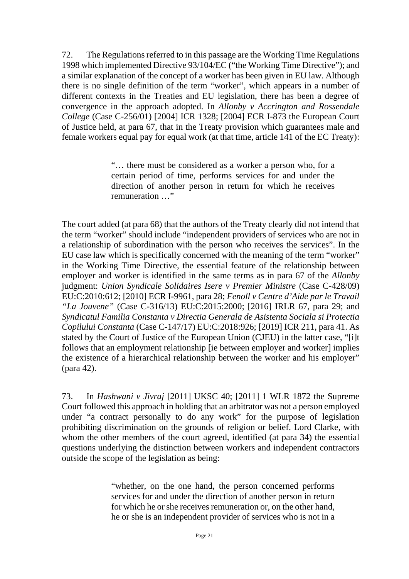72. The Regulations referred to in this passage are the Working Time Regulations 1998 which implemented Directive 93/104/EC ("the Working Time Directive"); and a similar explanation of the concept of a worker has been given in EU law. Although there is no single definition of the term "worker", which appears in a number of different contexts in the Treaties and EU legislation, there has been a degree of convergence in the approach adopted. In *Allonby v Accrington and Rossendale College* (Case C-256/01) [2004] ICR 1328; [2004] ECR I-873 the European Court of Justice held, at para 67, that in the Treaty provision which guarantees male and female workers equal pay for equal work (at that time, article 141 of the EC Treaty):

> "… there must be considered as a worker a person who, for a certain period of time, performs services for and under the direction of another person in return for which he receives remuneration …"

The court added (at para 68) that the authors of the Treaty clearly did not intend that the term "worker" should include "independent providers of services who are not in a relationship of subordination with the person who receives the services". In the EU case law which is specifically concerned with the meaning of the term "worker" in the Working Time Directive, the essential feature of the relationship between employer and worker is identified in the same terms as in para 67 of the *Allonby* judgment: *Union Syndicale Solidaires Isere v Premier Ministre* (Case C-428/09) EU:C:2010:612; [2010] ECR I-9961, para 28; *Fenoll v Centre d'Aide par le Travail "La Jouvene"* (Case C-316/13) EU:C:2015:2000; [2016] IRLR 67, para 29; and *Syndicatul Familia Constanta v Directia Generala de Asistenta Sociala si Protectia Copilului Constanta* (Case C-147/17) EU:C:2018:926; [2019] ICR 211, para 41. As stated by the Court of Justice of the European Union (CJEU) in the latter case, "[i]t follows that an employment relationship [ie between employer and worker] implies the existence of a hierarchical relationship between the worker and his employer" (para 42).

73. In *Hashwani v Jivraj* [2011] UKSC 40; [2011] 1 WLR 1872 the Supreme Court followed this approach in holding that an arbitrator was not a person employed under "a contract personally to do any work" for the purpose of legislation prohibiting discrimination on the grounds of religion or belief. Lord Clarke, with whom the other members of the court agreed, identified (at para 34) the essential questions underlying the distinction between workers and independent contractors outside the scope of the legislation as being:

> "whether, on the one hand, the person concerned performs services for and under the direction of another person in return for which he or she receives remuneration or, on the other hand, he or she is an independent provider of services who is not in a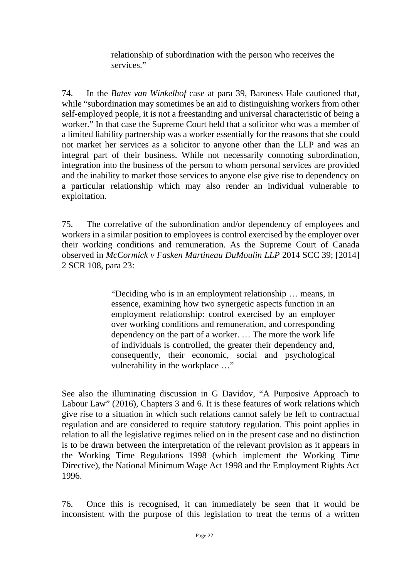relationship of subordination with the person who receives the services."

74. In the *Bates van Winkelhof* case at para 39, Baroness Hale cautioned that, while "subordination may sometimes be an aid to distinguishing workers from other self-employed people, it is not a freestanding and universal characteristic of being a worker." In that case the Supreme Court held that a solicitor who was a member of a limited liability partnership was a worker essentially for the reasons that she could not market her services as a solicitor to anyone other than the LLP and was an integral part of their business. While not necessarily connoting subordination, integration into the business of the person to whom personal services are provided and the inability to market those services to anyone else give rise to dependency on a particular relationship which may also render an individual vulnerable to exploitation.

75. The correlative of the subordination and/or dependency of employees and workers in a similar position to employees is control exercised by the employer over their working conditions and remuneration. As the Supreme Court of Canada observed in *McCormick v Fasken Martineau DuMoulin LLP* 2014 SCC 39; [2014] 2 SCR 108, para 23:

> "Deciding who is in an employment relationship … means, in essence, examining how two synergetic aspects function in an employment relationship: control exercised by an employer over working conditions and remuneration, and corresponding dependency on the part of a worker. … The more the work life of individuals is controlled, the greater their dependency and, consequently, their economic, social and psychological vulnerability in the workplace …"

See also the illuminating discussion in G Davidov, "A Purposive Approach to Labour Law" (2016), Chapters 3 and 6. It is these features of work relations which give rise to a situation in which such relations cannot safely be left to contractual regulation and are considered to require statutory regulation. This point applies in relation to all the legislative regimes relied on in the present case and no distinction is to be drawn between the interpretation of the relevant provision as it appears in the Working Time Regulations 1998 (which implement the Working Time Directive), the National Minimum Wage Act 1998 and the Employment Rights Act 1996.

76. Once this is recognised, it can immediately be seen that it would be inconsistent with the purpose of this legislation to treat the terms of a written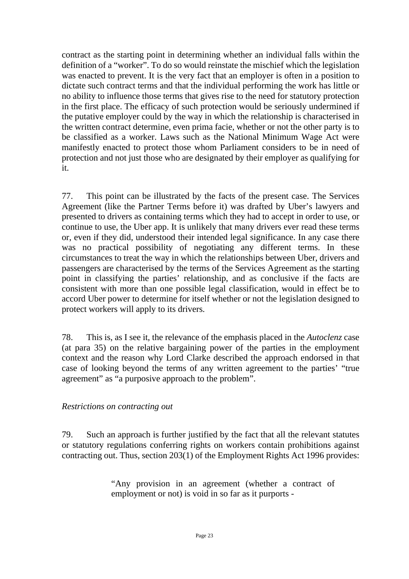contract as the starting point in determining whether an individual falls within the definition of a "worker". To do so would reinstate the mischief which the legislation was enacted to prevent. It is the very fact that an employer is often in a position to dictate such contract terms and that the individual performing the work has little or no ability to influence those terms that gives rise to the need for statutory protection in the first place. The efficacy of such protection would be seriously undermined if the putative employer could by the way in which the relationship is characterised in the written contract determine, even prima facie, whether or not the other party is to be classified as a worker. Laws such as the National Minimum Wage Act were manifestly enacted to protect those whom Parliament considers to be in need of protection and not just those who are designated by their employer as qualifying for it.

77. This point can be illustrated by the facts of the present case. The Services Agreement (like the Partner Terms before it) was drafted by Uber's lawyers and presented to drivers as containing terms which they had to accept in order to use, or continue to use, the Uber app. It is unlikely that many drivers ever read these terms or, even if they did, understood their intended legal significance. In any case there was no practical possibility of negotiating any different terms. In these circumstances to treat the way in which the relationships between Uber, drivers and passengers are characterised by the terms of the Services Agreement as the starting point in classifying the parties' relationship, and as conclusive if the facts are consistent with more than one possible legal classification, would in effect be to accord Uber power to determine for itself whether or not the legislation designed to protect workers will apply to its drivers.

78. This is, as I see it, the relevance of the emphasis placed in the *Autoclenz* case (at para 35) on the relative bargaining power of the parties in the employment context and the reason why Lord Clarke described the approach endorsed in that case of looking beyond the terms of any written agreement to the parties' "true agreement" as "a purposive approach to the problem".

#### *Restrictions on contracting out*

79. Such an approach is further justified by the fact that all the relevant statutes or statutory regulations conferring rights on workers contain prohibitions against contracting out. Thus, section 203(1) of the Employment Rights Act 1996 provides:

> "Any provision in an agreement (whether a contract of employment or not) is void in so far as it purports -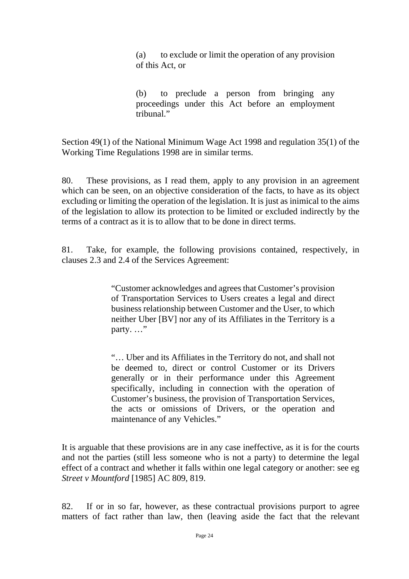(a) to exclude or limit the operation of any provision of this Act, or

(b) to preclude a person from bringing any proceedings under this Act before an employment tribunal."

Section 49(1) of the National Minimum Wage Act 1998 and regulation 35(1) of the Working Time Regulations 1998 are in similar terms.

80. These provisions, as I read them, apply to any provision in an agreement which can be seen, on an objective consideration of the facts, to have as its object excluding or limiting the operation of the legislation. It is just as inimical to the aims of the legislation to allow its protection to be limited or excluded indirectly by the terms of a contract as it is to allow that to be done in direct terms.

81. Take, for example, the following provisions contained, respectively, in clauses 2.3 and 2.4 of the Services Agreement:

> "Customer acknowledges and agrees that Customer's provision of Transportation Services to Users creates a legal and direct business relationship between Customer and the User, to which neither Uber [BV] nor any of its Affiliates in the Territory is a party. ..."

> "… Uber and its Affiliates in the Territory do not, and shall not be deemed to, direct or control Customer or its Drivers generally or in their performance under this Agreement specifically, including in connection with the operation of Customer's business, the provision of Transportation Services, the acts or omissions of Drivers, or the operation and maintenance of any Vehicles."

It is arguable that these provisions are in any case ineffective, as it is for the courts and not the parties (still less someone who is not a party) to determine the legal effect of a contract and whether it falls within one legal category or another: see eg *Street v Mountford* [1985] AC 809, 819.

82. If or in so far, however, as these contractual provisions purport to agree matters of fact rather than law, then (leaving aside the fact that the relevant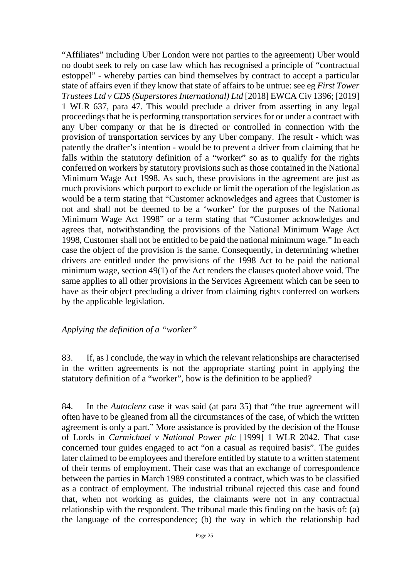"Affiliates" including Uber London were not parties to the agreement) Uber would no doubt seek to rely on case law which has recognised a principle of "contractual estoppel" - whereby parties can bind themselves by contract to accept a particular state of affairs even if they know that state of affairs to be untrue: see eg *First Tower Trustees Ltd v CDS (Superstores International) Ltd* [2018] EWCA Civ 1396; [2019] 1 WLR 637, para 47. This would preclude a driver from asserting in any legal proceedings that he is performing transportation services for or under a contract with any Uber company or that he is directed or controlled in connection with the provision of transportation services by any Uber company. The result - which was patently the drafter's intention - would be to prevent a driver from claiming that he falls within the statutory definition of a "worker" so as to qualify for the rights conferred on workers by statutory provisions such as those contained in the National Minimum Wage Act 1998. As such, these provisions in the agreement are just as much provisions which purport to exclude or limit the operation of the legislation as would be a term stating that "Customer acknowledges and agrees that Customer is not and shall not be deemed to be a 'worker' for the purposes of the National Minimum Wage Act 1998" or a term stating that "Customer acknowledges and agrees that, notwithstanding the provisions of the National Minimum Wage Act 1998, Customer shall not be entitled to be paid the national minimum wage." In each case the object of the provision is the same. Consequently, in determining whether drivers are entitled under the provisions of the 1998 Act to be paid the national minimum wage, section 49(1) of the Act renders the clauses quoted above void. The same applies to all other provisions in the Services Agreement which can be seen to have as their object precluding a driver from claiming rights conferred on workers by the applicable legislation.

*Applying the definition of a "worker"*

83. If, as I conclude, the way in which the relevant relationships are characterised in the written agreements is not the appropriate starting point in applying the statutory definition of a "worker", how is the definition to be applied?

84. In the *Autoclenz* case it was said (at para 35) that "the true agreement will often have to be gleaned from all the circumstances of the case, of which the written agreement is only a part." More assistance is provided by the decision of the House of Lords in *Carmichael v National Power plc* [1999] 1 WLR 2042. That case concerned tour guides engaged to act "on a casual as required basis". The guides later claimed to be employees and therefore entitled by statute to a written statement of their terms of employment. Their case was that an exchange of correspondence between the parties in March 1989 constituted a contract, which was to be classified as a contract of employment. The industrial tribunal rejected this case and found that, when not working as guides, the claimants were not in any contractual relationship with the respondent. The tribunal made this finding on the basis of: (a) the language of the correspondence; (b) the way in which the relationship had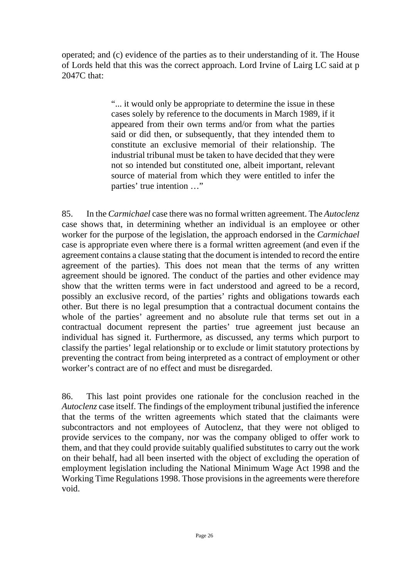operated; and (c) evidence of the parties as to their understanding of it. The House of Lords held that this was the correct approach. Lord Irvine of Lairg LC said at p 2047C that:

> "... it would only be appropriate to determine the issue in these cases solely by reference to the documents in March 1989, if it appeared from their own terms and/or from what the parties said or did then, or subsequently, that they intended them to constitute an exclusive memorial of their relationship. The industrial tribunal must be taken to have decided that they were not so intended but constituted one, albeit important, relevant source of material from which they were entitled to infer the parties' true intention …"

85. In the *Carmichael* case there was no formal written agreement. The *Autoclenz* case shows that, in determining whether an individual is an employee or other worker for the purpose of the legislation, the approach endorsed in the *Carmichael* case is appropriate even where there is a formal written agreement (and even if the agreement contains a clause stating that the document is intended to record the entire agreement of the parties). This does not mean that the terms of any written agreement should be ignored. The conduct of the parties and other evidence may show that the written terms were in fact understood and agreed to be a record, possibly an exclusive record, of the parties' rights and obligations towards each other. But there is no legal presumption that a contractual document contains the whole of the parties' agreement and no absolute rule that terms set out in a contractual document represent the parties' true agreement just because an individual has signed it. Furthermore, as discussed, any terms which purport to classify the parties' legal relationship or to exclude or limit statutory protections by preventing the contract from being interpreted as a contract of employment or other worker's contract are of no effect and must be disregarded.

86. This last point provides one rationale for the conclusion reached in the *Autoclenz* case itself. The findings of the employment tribunal justified the inference that the terms of the written agreements which stated that the claimants were subcontractors and not employees of Autoclenz, that they were not obliged to provide services to the company, nor was the company obliged to offer work to them, and that they could provide suitably qualified substitutes to carry out the work on their behalf, had all been inserted with the object of excluding the operation of employment legislation including the National Minimum Wage Act 1998 and the Working Time Regulations 1998. Those provisions in the agreements were therefore void.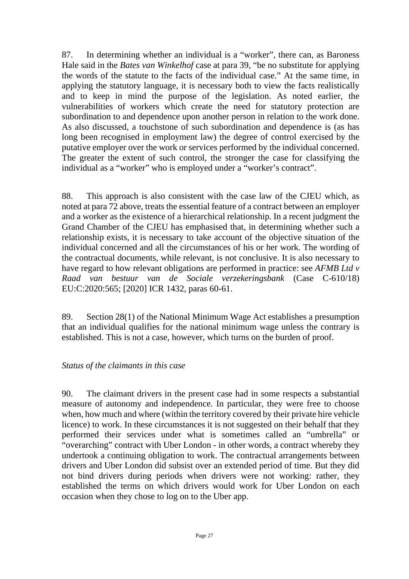87. In determining whether an individual is a "worker", there can, as Baroness Hale said in the *Bates van Winkelhof* case at para 39, "be no substitute for applying the words of the statute to the facts of the individual case." At the same time, in applying the statutory language, it is necessary both to view the facts realistically and to keep in mind the purpose of the legislation. As noted earlier, the vulnerabilities of workers which create the need for statutory protection are subordination to and dependence upon another person in relation to the work done. As also discussed, a touchstone of such subordination and dependence is (as has long been recognised in employment law) the degree of control exercised by the putative employer over the work or services performed by the individual concerned. The greater the extent of such control, the stronger the case for classifying the individual as a "worker" who is employed under a "worker's contract".

88. This approach is also consistent with the case law of the CJEU which, as noted at para 72 above, treats the essential feature of a contract between an employer and a worker as the existence of a hierarchical relationship. In a recent judgment the Grand Chamber of the CJEU has emphasised that, in determining whether such a relationship exists, it is necessary to take account of the objective situation of the individual concerned and all the circumstances of his or her work. The wording of the contractual documents, while relevant, is not conclusive. It is also necessary to have regard to how relevant obligations are performed in practice: see *AFMB Ltd v Raad van bestuur van de Sociale verzekeringsbank* (Case C-610/18) EU:C:2020:565; [2020] ICR 1432, paras 60-61.

89. Section 28(1) of the National Minimum Wage Act establishes a presumption that an individual qualifies for the national minimum wage unless the contrary is established. This is not a case, however, which turns on the burden of proof.

#### *Status of the claimants in this case*

90. The claimant drivers in the present case had in some respects a substantial measure of autonomy and independence. In particular, they were free to choose when, how much and where (within the territory covered by their private hire vehicle licence) to work. In these circumstances it is not suggested on their behalf that they performed their services under what is sometimes called an "umbrella" or "overarching" contract with Uber London - in other words, a contract whereby they undertook a continuing obligation to work. The contractual arrangements between drivers and Uber London did subsist over an extended period of time. But they did not bind drivers during periods when drivers were not working: rather, they established the terms on which drivers would work for Uber London on each occasion when they chose to log on to the Uber app.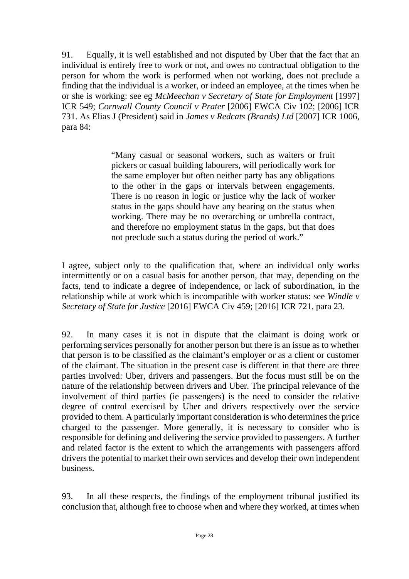91. Equally, it is well established and not disputed by Uber that the fact that an individual is entirely free to work or not, and owes no contractual obligation to the person for whom the work is performed when not working, does not preclude a finding that the individual is a worker, or indeed an employee, at the times when he or she is working: see eg *McMeechan v Secretary of State for Employment* [1997] ICR 549; *Cornwall County Council v Prater* [2006] EWCA Civ 102; [2006] ICR 731. As Elias J (President) said in *James v Redcats (Brands) Ltd* [2007] ICR 1006, para 84:

> "Many casual or seasonal workers, such as waiters or fruit pickers or casual building labourers, will periodically work for the same employer but often neither party has any obligations to the other in the gaps or intervals between engagements. There is no reason in logic or justice why the lack of worker status in the gaps should have any bearing on the status when working. There may be no overarching or umbrella contract, and therefore no employment status in the gaps, but that does not preclude such a status during the period of work."

I agree, subject only to the qualification that, where an individual only works intermittently or on a casual basis for another person, that may, depending on the facts, tend to indicate a degree of independence, or lack of subordination, in the relationship while at work which is incompatible with worker status: see *Windle v Secretary of State for Justice* [2016] EWCA Civ 459; [2016] ICR 721, para 23.

92. In many cases it is not in dispute that the claimant is doing work or performing services personally for another person but there is an issue as to whether that person is to be classified as the claimant's employer or as a client or customer of the claimant. The situation in the present case is different in that there are three parties involved: Uber, drivers and passengers. But the focus must still be on the nature of the relationship between drivers and Uber. The principal relevance of the involvement of third parties (ie passengers) is the need to consider the relative degree of control exercised by Uber and drivers respectively over the service provided to them. A particularly important consideration is who determines the price charged to the passenger. More generally, it is necessary to consider who is responsible for defining and delivering the service provided to passengers. A further and related factor is the extent to which the arrangements with passengers afford drivers the potential to market their own services and develop their own independent business.

93. In all these respects, the findings of the employment tribunal justified its conclusion that, although free to choose when and where they worked, at times when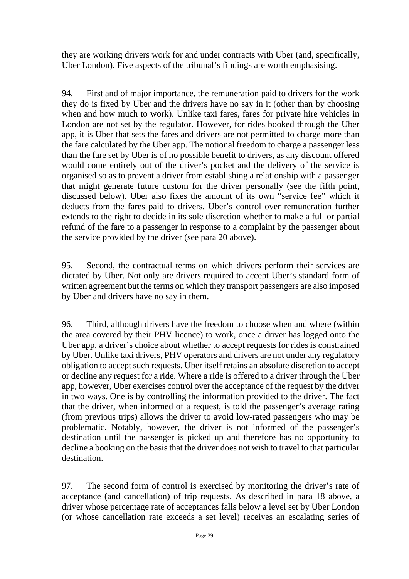they are working drivers work for and under contracts with Uber (and, specifically, Uber London). Five aspects of the tribunal's findings are worth emphasising.

94. First and of major importance, the remuneration paid to drivers for the work they do is fixed by Uber and the drivers have no say in it (other than by choosing when and how much to work). Unlike taxi fares, fares for private hire vehicles in London are not set by the regulator. However, for rides booked through the Uber app, it is Uber that sets the fares and drivers are not permitted to charge more than the fare calculated by the Uber app. The notional freedom to charge a passenger less than the fare set by Uber is of no possible benefit to drivers, as any discount offered would come entirely out of the driver's pocket and the delivery of the service is organised so as to prevent a driver from establishing a relationship with a passenger that might generate future custom for the driver personally (see the fifth point, discussed below). Uber also fixes the amount of its own "service fee" which it deducts from the fares paid to drivers. Uber's control over remuneration further extends to the right to decide in its sole discretion whether to make a full or partial refund of the fare to a passenger in response to a complaint by the passenger about the service provided by the driver (see para 20 above).

95. Second, the contractual terms on which drivers perform their services are dictated by Uber. Not only are drivers required to accept Uber's standard form of written agreement but the terms on which they transport passengers are also imposed by Uber and drivers have no say in them.

96. Third, although drivers have the freedom to choose when and where (within the area covered by their PHV licence) to work, once a driver has logged onto the Uber app, a driver's choice about whether to accept requests for rides is constrained by Uber. Unlike taxi drivers, PHV operators and drivers are not under any regulatory obligation to accept such requests. Uber itself retains an absolute discretion to accept or decline any request for a ride. Where a ride is offered to a driver through the Uber app, however, Uber exercises control over the acceptance of the request by the driver in two ways. One is by controlling the information provided to the driver. The fact that the driver, when informed of a request, is told the passenger's average rating (from previous trips) allows the driver to avoid low-rated passengers who may be problematic. Notably, however, the driver is not informed of the passenger's destination until the passenger is picked up and therefore has no opportunity to decline a booking on the basis that the driver does not wish to travel to that particular destination.

97. The second form of control is exercised by monitoring the driver's rate of acceptance (and cancellation) of trip requests. As described in para 18 above, a driver whose percentage rate of acceptances falls below a level set by Uber London (or whose cancellation rate exceeds a set level) receives an escalating series of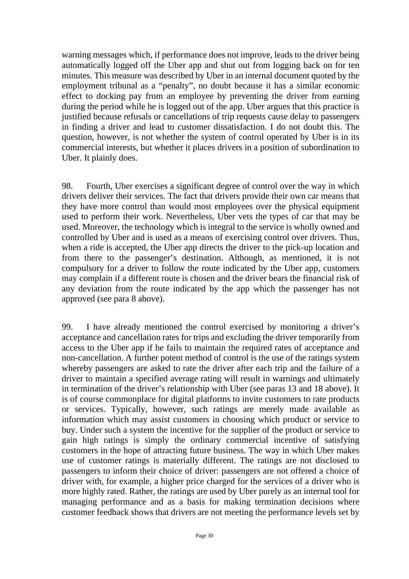warning messages which, if performance does not improve, leads to the driver being automatically logged off the Uber app and shut out from logging back on for ten minutes. This measure was described by Uber in an internal document quoted by the employment tribunal as a "penalty", no doubt because it has a similar economic effect to docking pay from an employee by preventing the driver from earning during the period while he is logged out of the app. Uber argues that this practice is justified because refusals or cancellations of trip requests cause delay to passengers in finding a driver and lead to customer dissatisfaction. I do not doubt this. The question, however, is not whether the system of control operated by Uber is in its commercial interests, but whether it places drivers in a position of subordination to Uber. It plainly does.

98. Fourth, Uber exercises a significant degree of control over the way in which drivers deliver their services. The fact that drivers provide their own car means that they have more control than would most employees over the physical equipment used to perform their work. Nevertheless, Uber vets the types of car that may be used. Moreover, the technology which is integral to the service is wholly owned and controlled by Uber and is used as a means of exercising control over drivers. Thus, when a ride is accepted, the Uber app directs the driver to the pick-up location and from there to the passenger's destination. Although, as mentioned, it is not compulsory for a driver to follow the route indicated by the Uber app, customers may complain if a different route is chosen and the driver bears the financial risk of any deviation from the route indicated by the app which the passenger has not approved (see para 8 above).

99. I have already mentioned the control exercised by monitoring a driver's acceptance and cancellation rates for trips and excluding the driver temporarily from access to the Uber app if he fails to maintain the required rates of acceptance and non-cancellation. A further potent method of control is the use of the ratings system whereby passengers are asked to rate the driver after each trip and the failure of a driver to maintain a specified average rating will result in warnings and ultimately in termination of the driver's relationship with Uber (see paras 13 and 18 above). It is of course commonplace for digital platforms to invite customers to rate products or services. Typically, however, such ratings are merely made available as information which may assist customers in choosing which product or service to buy. Under such a system the incentive for the supplier of the product or service to gain high ratings is simply the ordinary commercial incentive of satisfying customers in the hope of attracting future business. The way in which Uber makes use of customer ratings is materially different. The ratings are not disclosed to passengers to inform their choice of driver: passengers are not offered a choice of driver with, for example, a higher price charged for the services of a driver who is more highly rated. Rather, the ratings are used by Uber purely as an internal tool for managing performance and as a basis for making termination decisions where customer feedback shows that drivers are not meeting the performance levels set by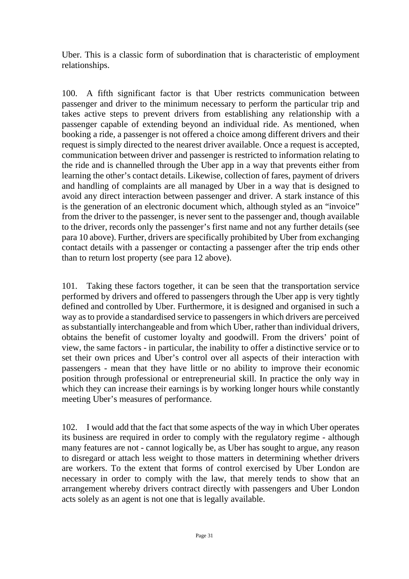Uber. This is a classic form of subordination that is characteristic of employment relationships.

100. A fifth significant factor is that Uber restricts communication between passenger and driver to the minimum necessary to perform the particular trip and takes active steps to prevent drivers from establishing any relationship with a passenger capable of extending beyond an individual ride. As mentioned, when booking a ride, a passenger is not offered a choice among different drivers and their request is simply directed to the nearest driver available. Once a request is accepted, communication between driver and passenger is restricted to information relating to the ride and is channelled through the Uber app in a way that prevents either from learning the other's contact details. Likewise, collection of fares, payment of drivers and handling of complaints are all managed by Uber in a way that is designed to avoid any direct interaction between passenger and driver. A stark instance of this is the generation of an electronic document which, although styled as an "invoice" from the driver to the passenger, is never sent to the passenger and, though available to the driver, records only the passenger's first name and not any further details (see para 10 above). Further, drivers are specifically prohibited by Uber from exchanging contact details with a passenger or contacting a passenger after the trip ends other than to return lost property (see para 12 above).

101. Taking these factors together, it can be seen that the transportation service performed by drivers and offered to passengers through the Uber app is very tightly defined and controlled by Uber. Furthermore, it is designed and organised in such a way as to provide a standardised service to passengers in which drivers are perceived as substantially interchangeable and from which Uber, rather than individual drivers, obtains the benefit of customer loyalty and goodwill. From the drivers' point of view, the same factors - in particular, the inability to offer a distinctive service or to set their own prices and Uber's control over all aspects of their interaction with passengers - mean that they have little or no ability to improve their economic position through professional or entrepreneurial skill. In practice the only way in which they can increase their earnings is by working longer hours while constantly meeting Uber's measures of performance.

102. I would add that the fact that some aspects of the way in which Uber operates its business are required in order to comply with the regulatory regime - although many features are not - cannot logically be, as Uber has sought to argue, any reason to disregard or attach less weight to those matters in determining whether drivers are workers. To the extent that forms of control exercised by Uber London are necessary in order to comply with the law, that merely tends to show that an arrangement whereby drivers contract directly with passengers and Uber London acts solely as an agent is not one that is legally available.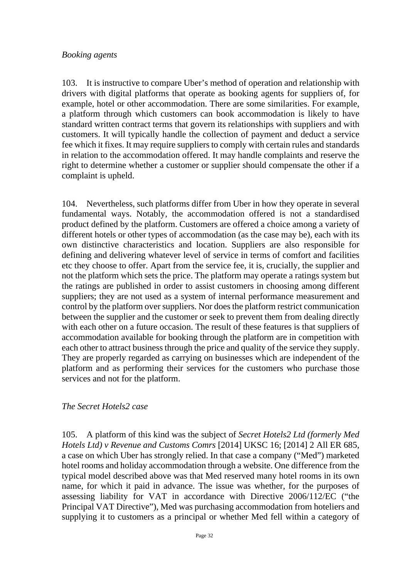#### *Booking agents*

103. It is instructive to compare Uber's method of operation and relationship with drivers with digital platforms that operate as booking agents for suppliers of, for example, hotel or other accommodation. There are some similarities. For example, a platform through which customers can book accommodation is likely to have standard written contract terms that govern its relationships with suppliers and with customers. It will typically handle the collection of payment and deduct a service fee which it fixes. It may require suppliers to comply with certain rules and standards in relation to the accommodation offered. It may handle complaints and reserve the right to determine whether a customer or supplier should compensate the other if a complaint is upheld.

104. Nevertheless, such platforms differ from Uber in how they operate in several fundamental ways. Notably, the accommodation offered is not a standardised product defined by the platform. Customers are offered a choice among a variety of different hotels or other types of accommodation (as the case may be), each with its own distinctive characteristics and location. Suppliers are also responsible for defining and delivering whatever level of service in terms of comfort and facilities etc they choose to offer. Apart from the service fee, it is, crucially, the supplier and not the platform which sets the price. The platform may operate a ratings system but the ratings are published in order to assist customers in choosing among different suppliers; they are not used as a system of internal performance measurement and control by the platform over suppliers. Nor does the platform restrict communication between the supplier and the customer or seek to prevent them from dealing directly with each other on a future occasion. The result of these features is that suppliers of accommodation available for booking through the platform are in competition with each other to attract business through the price and quality of the service they supply. They are properly regarded as carrying on businesses which are independent of the platform and as performing their services for the customers who purchase those services and not for the platform.

#### *The Secret Hotels2 case*

105. A platform of this kind was the subject of *Secret Hotels2 Ltd (formerly Med Hotels Ltd) v Revenue and Customs Comrs* [2014] UKSC 16; [2014] 2 All ER 685, a case on which Uber has strongly relied. In that case a company ("Med") marketed hotel rooms and holiday accommodation through a website. One difference from the typical model described above was that Med reserved many hotel rooms in its own name, for which it paid in advance. The issue was whether, for the purposes of assessing liability for VAT in accordance with Directive 2006/112/EC ("the Principal VAT Directive"), Med was purchasing accommodation from hoteliers and supplying it to customers as a principal or whether Med fell within a category of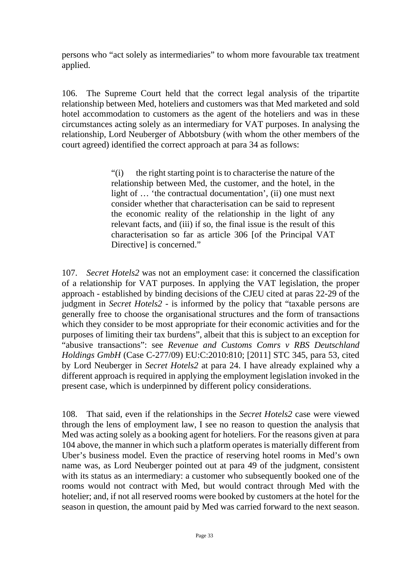persons who "act solely as intermediaries" to whom more favourable tax treatment applied.

106. The Supreme Court held that the correct legal analysis of the tripartite relationship between Med, hoteliers and customers was that Med marketed and sold hotel accommodation to customers as the agent of the hoteliers and was in these circumstances acting solely as an intermediary for VAT purposes. In analysing the relationship, Lord Neuberger of Abbotsbury (with whom the other members of the court agreed) identified the correct approach at para 34 as follows:

> "(i) the right starting point is to characterise the nature of the relationship between Med, the customer, and the hotel, in the light of ... 'the contractual documentation', (ii) one must next consider whether that characterisation can be said to represent the economic reality of the relationship in the light of any relevant facts, and (iii) if so, the final issue is the result of this characterisation so far as article 306 [of the Principal VAT Directive] is concerned."

107. *Secret Hotels2* was not an employment case: it concerned the classification of a relationship for VAT purposes. In applying the VAT legislation, the proper approach - established by binding decisions of the CJEU cited at paras 22-29 of the judgment in *Secret Hotels2* - is informed by the policy that "taxable persons are generally free to choose the organisational structures and the form of transactions which they consider to be most appropriate for their economic activities and for the purposes of limiting their tax burdens", albeit that this is subject to an exception for "abusive transactions": see *Revenue and Customs Comrs v RBS Deutschland Holdings GmbH* (Case C-277/09) EU:C:2010:810; [2011] STC 345, para 53, cited by Lord Neuberger in *Secret Hotels2* at para 24. I have already explained why a different approach is required in applying the employment legislation invoked in the present case, which is underpinned by different policy considerations.

108. That said, even if the relationships in the *Secret Hotels2* case were viewed through the lens of employment law, I see no reason to question the analysis that Med was acting solely as a booking agent for hoteliers. For the reasons given at para 104 above, the manner in which such a platform operates is materially different from Uber's business model. Even the practice of reserving hotel rooms in Med's own name was, as Lord Neuberger pointed out at para 49 of the judgment, consistent with its status as an intermediary: a customer who subsequently booked one of the rooms would not contract with Med, but would contract through Med with the hotelier; and, if not all reserved rooms were booked by customers at the hotel for the season in question, the amount paid by Med was carried forward to the next season.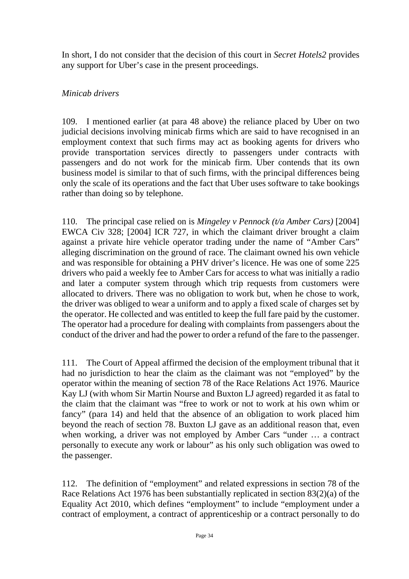In short, I do not consider that the decision of this court in *Secret Hotels2* provides any support for Uber's case in the present proceedings.

# *Minicab drivers*

109. I mentioned earlier (at para 48 above) the reliance placed by Uber on two judicial decisions involving minicab firms which are said to have recognised in an employment context that such firms may act as booking agents for drivers who provide transportation services directly to passengers under contracts with passengers and do not work for the minicab firm. Uber contends that its own business model is similar to that of such firms, with the principal differences being only the scale of its operations and the fact that Uber uses software to take bookings rather than doing so by telephone.

110. The principal case relied on is *Mingeley v Pennock (t/a Amber Cars)* [2004] EWCA Civ 328; [2004] ICR 727, in which the claimant driver brought a claim against a private hire vehicle operator trading under the name of "Amber Cars" alleging discrimination on the ground of race. The claimant owned his own vehicle and was responsible for obtaining a PHV driver's licence. He was one of some 225 drivers who paid a weekly fee to Amber Cars for access to what was initially a radio and later a computer system through which trip requests from customers were allocated to drivers. There was no obligation to work but, when he chose to work, the driver was obliged to wear a uniform and to apply a fixed scale of charges set by the operator. He collected and was entitled to keep the full fare paid by the customer. The operator had a procedure for dealing with complaints from passengers about the conduct of the driver and had the power to order a refund of the fare to the passenger.

111. The Court of Appeal affirmed the decision of the employment tribunal that it had no jurisdiction to hear the claim as the claimant was not "employed" by the operator within the meaning of section 78 of the Race Relations Act 1976. Maurice Kay LJ (with whom Sir Martin Nourse and Buxton LJ agreed) regarded it as fatal to the claim that the claimant was "free to work or not to work at his own whim or fancy" (para 14) and held that the absence of an obligation to work placed him beyond the reach of section 78. Buxton LJ gave as an additional reason that, even when working, a driver was not employed by Amber Cars "under … a contract personally to execute any work or labour" as his only such obligation was owed to the passenger.

112. The definition of "employment" and related expressions in section 78 of the Race Relations Act 1976 has been substantially replicated in section 83(2)(a) of the Equality Act 2010, which defines "employment" to include "employment under a contract of employment, a contract of apprenticeship or a contract personally to do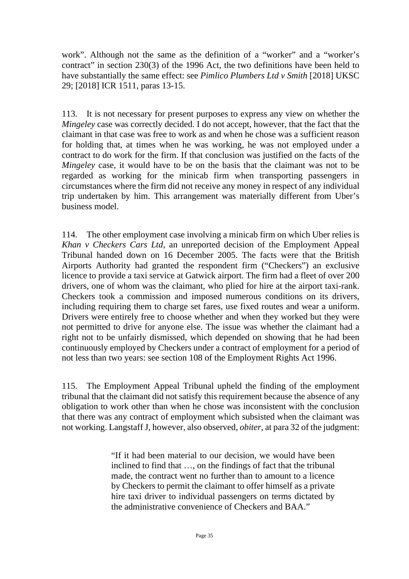work". Although not the same as the definition of a "worker" and a "worker's contract" in section 230(3) of the 1996 Act, the two definitions have been held to have substantially the same effect: see *Pimlico Plumbers Ltd v Smith* [2018] UKSC 29; [2018] ICR 1511, paras 13-15.

113. It is not necessary for present purposes to express any view on whether the *Mingeley* case was correctly decided. I do not accept, however, that the fact that the claimant in that case was free to work as and when he chose was a sufficient reason for holding that, at times when he was working, he was not employed under a contract to do work for the firm. If that conclusion was justified on the facts of the *Mingeley* case, it would have to be on the basis that the claimant was not to be regarded as working for the minicab firm when transporting passengers in circumstances where the firm did not receive any money in respect of any individual trip undertaken by him. This arrangement was materially different from Uber's business model.

114. The other employment case involving a minicab firm on which Uber relies is *Khan v Checkers Cars Ltd*, an unreported decision of the Employment Appeal Tribunal handed down on 16 December 2005. The facts were that the British Airports Authority had granted the respondent firm ("Checkers") an exclusive licence to provide a taxi service at Gatwick airport. The firm had a fleet of over 200 drivers, one of whom was the claimant, who plied for hire at the airport taxi-rank. Checkers took a commission and imposed numerous conditions on its drivers, including requiring them to charge set fares, use fixed routes and wear a uniform. Drivers were entirely free to choose whether and when they worked but they were not permitted to drive for anyone else. The issue was whether the claimant had a right not to be unfairly dismissed, which depended on showing that he had been continuously employed by Checkers under a contract of employment for a period of not less than two years: see section 108 of the Employment Rights Act 1996.

115. The Employment Appeal Tribunal upheld the finding of the employment tribunal that the claimant did not satisfy this requirement because the absence of any obligation to work other than when he chose was inconsistent with the conclusion that there was any contract of employment which subsisted when the claimant was not working. Langstaff J, however, also observed, *obiter*, at para 32 of the judgment:

> "If it had been material to our decision, we would have been inclined to find that …, on the findings of fact that the tribunal made, the contract went no further than to amount to a licence by Checkers to permit the claimant to offer himself as a private hire taxi driver to individual passengers on terms dictated by the administrative convenience of Checkers and BAA."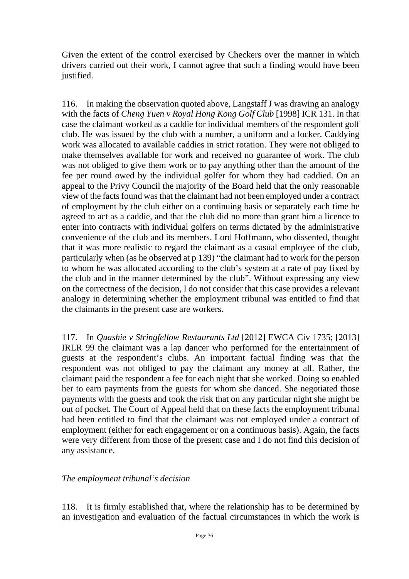Given the extent of the control exercised by Checkers over the manner in which drivers carried out their work, I cannot agree that such a finding would have been justified.

116. In making the observation quoted above, Langstaff J was drawing an analogy with the facts of *Cheng Yuen v Royal Hong Kong Golf Club* [1998] ICR 131. In that case the claimant worked as a caddie for individual members of the respondent golf club. He was issued by the club with a number, a uniform and a locker. Caddying work was allocated to available caddies in strict rotation. They were not obliged to make themselves available for work and received no guarantee of work. The club was not obliged to give them work or to pay anything other than the amount of the fee per round owed by the individual golfer for whom they had caddied. On an appeal to the Privy Council the majority of the Board held that the only reasonable view of the facts found was that the claimant had not been employed under a contract of employment by the club either on a continuing basis or separately each time he agreed to act as a caddie, and that the club did no more than grant him a licence to enter into contracts with individual golfers on terms dictated by the administrative convenience of the club and its members. Lord Hoffmann, who dissented, thought that it was more realistic to regard the claimant as a casual employee of the club, particularly when (as he observed at p 139) "the claimant had to work for the person to whom he was allocated according to the club's system at a rate of pay fixed by the club and in the manner determined by the club". Without expressing any view on the correctness of the decision, I do not consider that this case provides a relevant analogy in determining whether the employment tribunal was entitled to find that the claimants in the present case are workers.

117. In *Quashie v Stringfellow Restaurants Ltd* [2012] EWCA Civ 1735; [2013] IRLR 99 the claimant was a lap dancer who performed for the entertainment of guests at the respondent's clubs. An important factual finding was that the respondent was not obliged to pay the claimant any money at all. Rather, the claimant paid the respondent a fee for each night that she worked. Doing so enabled her to earn payments from the guests for whom she danced. She negotiated those payments with the guests and took the risk that on any particular night she might be out of pocket. The Court of Appeal held that on these facts the employment tribunal had been entitled to find that the claimant was not employed under a contract of employment (either for each engagement or on a continuous basis). Again, the facts were very different from those of the present case and I do not find this decision of any assistance.

#### *The employment tribunal's decision*

118. It is firmly established that, where the relationship has to be determined by an investigation and evaluation of the factual circumstances in which the work is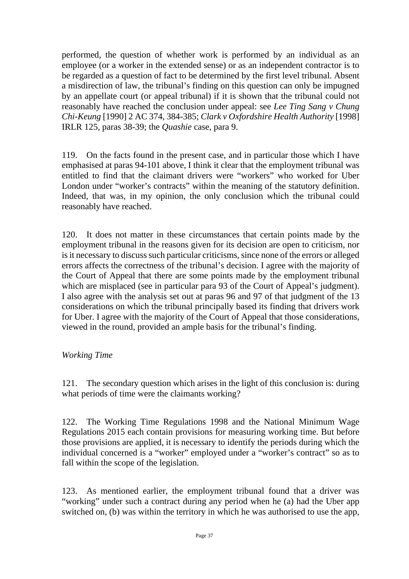performed, the question of whether work is performed by an individual as an employee (or a worker in the extended sense) or as an independent contractor is to be regarded as a question of fact to be determined by the first level tribunal. Absent a misdirection of law, the tribunal's finding on this question can only be impugned by an appellate court (or appeal tribunal) if it is shown that the tribunal could not reasonably have reached the conclusion under appeal: see *Lee Ting Sang v Chung Chi-Keung* [1990] 2 AC 374, 384-385; *Clark v Oxfordshire Health Authority* [1998] IRLR 125, paras 38-39; the *Quashie* case, para 9.

119. On the facts found in the present case, and in particular those which I have emphasised at paras 94-101 above, I think it clear that the employment tribunal was entitled to find that the claimant drivers were "workers" who worked for Uber London under "worker's contracts" within the meaning of the statutory definition. Indeed, that was, in my opinion, the only conclusion which the tribunal could reasonably have reached.

120. It does not matter in these circumstances that certain points made by the employment tribunal in the reasons given for its decision are open to criticism, nor is it necessary to discuss such particular criticisms, since none of the errors or alleged errors affects the correctness of the tribunal's decision. I agree with the majority of the Court of Appeal that there are some points made by the employment tribunal which are misplaced (see in particular para 93 of the Court of Appeal's judgment). I also agree with the analysis set out at paras 96 and 97 of that judgment of the 13 considerations on which the tribunal principally based its finding that drivers work for Uber. I agree with the majority of the Court of Appeal that those considerations, viewed in the round, provided an ample basis for the tribunal's finding.

#### *Working Time*

121. The secondary question which arises in the light of this conclusion is: during what periods of time were the claimants working?

122. The Working Time Regulations 1998 and the National Minimum Wage Regulations 2015 each contain provisions for measuring working time. But before those provisions are applied, it is necessary to identify the periods during which the individual concerned is a "worker" employed under a "worker's contract" so as to fall within the scope of the legislation.

123. As mentioned earlier, the employment tribunal found that a driver was "working" under such a contract during any period when he (a) had the Uber app switched on, (b) was within the territory in which he was authorised to use the app,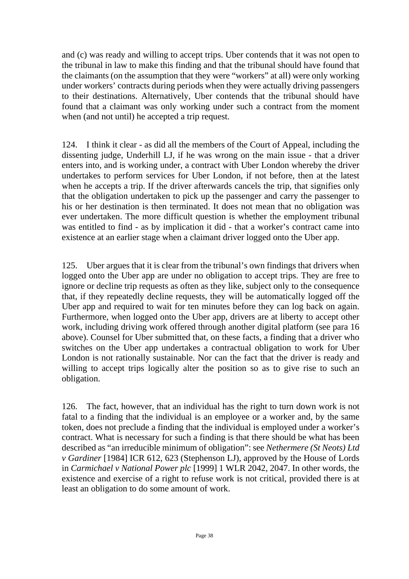and (c) was ready and willing to accept trips. Uber contends that it was not open to the tribunal in law to make this finding and that the tribunal should have found that the claimants (on the assumption that they were "workers" at all) were only working under workers' contracts during periods when they were actually driving passengers to their destinations. Alternatively, Uber contends that the tribunal should have found that a claimant was only working under such a contract from the moment when (and not until) he accepted a trip request.

124. I think it clear - as did all the members of the Court of Appeal, including the dissenting judge, Underhill LJ, if he was wrong on the main issue - that a driver enters into, and is working under, a contract with Uber London whereby the driver undertakes to perform services for Uber London, if not before, then at the latest when he accepts a trip. If the driver afterwards cancels the trip, that signifies only that the obligation undertaken to pick up the passenger and carry the passenger to his or her destination is then terminated. It does not mean that no obligation was ever undertaken. The more difficult question is whether the employment tribunal was entitled to find - as by implication it did - that a worker's contract came into existence at an earlier stage when a claimant driver logged onto the Uber app.

125. Uber argues that it is clear from the tribunal's own findings that drivers when logged onto the Uber app are under no obligation to accept trips. They are free to ignore or decline trip requests as often as they like, subject only to the consequence that, if they repeatedly decline requests, they will be automatically logged off the Uber app and required to wait for ten minutes before they can log back on again. Furthermore, when logged onto the Uber app, drivers are at liberty to accept other work, including driving work offered through another digital platform (see para 16 above). Counsel for Uber submitted that, on these facts, a finding that a driver who switches on the Uber app undertakes a contractual obligation to work for Uber London is not rationally sustainable. Nor can the fact that the driver is ready and willing to accept trips logically alter the position so as to give rise to such an obligation.

126. The fact, however, that an individual has the right to turn down work is not fatal to a finding that the individual is an employee or a worker and, by the same token, does not preclude a finding that the individual is employed under a worker's contract. What is necessary for such a finding is that there should be what has been described as "an irreducible minimum of obligation": see *Nethermere (St Neots) Ltd v Gardiner* [1984] ICR 612, 623 (Stephenson LJ), approved by the House of Lords in *Carmichael v National Power plc* [1999] 1 WLR 2042, 2047. In other words, the existence and exercise of a right to refuse work is not critical, provided there is at least an obligation to do some amount of work.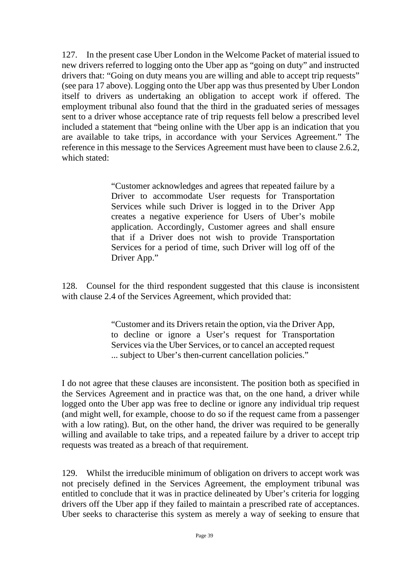127. In the present case Uber London in the Welcome Packet of material issued to new drivers referred to logging onto the Uber app as "going on duty" and instructed drivers that: "Going on duty means you are willing and able to accept trip requests" (see para 17 above). Logging onto the Uber app was thus presented by Uber London itself to drivers as undertaking an obligation to accept work if offered. The employment tribunal also found that the third in the graduated series of messages sent to a driver whose acceptance rate of trip requests fell below a prescribed level included a statement that "being online with the Uber app is an indication that you are available to take trips, in accordance with your Services Agreement." The reference in this message to the Services Agreement must have been to clause 2.6.2, which stated:

> "Customer acknowledges and agrees that repeated failure by a Driver to accommodate User requests for Transportation Services while such Driver is logged in to the Driver App creates a negative experience for Users of Uber's mobile application. Accordingly, Customer agrees and shall ensure that if a Driver does not wish to provide Transportation Services for a period of time, such Driver will log off of the Driver App."

128. Counsel for the third respondent suggested that this clause is inconsistent with clause 2.4 of the Services Agreement, which provided that:

> "Customer and its Drivers retain the option, via the Driver App, to decline or ignore a User's request for Transportation Services via the Uber Services, or to cancel an accepted request ... subject to Uber's then-current cancellation policies."

I do not agree that these clauses are inconsistent. The position both as specified in the Services Agreement and in practice was that, on the one hand, a driver while logged onto the Uber app was free to decline or ignore any individual trip request (and might well, for example, choose to do so if the request came from a passenger with a low rating). But, on the other hand, the driver was required to be generally willing and available to take trips, and a repeated failure by a driver to accept trip requests was treated as a breach of that requirement.

129. Whilst the irreducible minimum of obligation on drivers to accept work was not precisely defined in the Services Agreement, the employment tribunal was entitled to conclude that it was in practice delineated by Uber's criteria for logging drivers off the Uber app if they failed to maintain a prescribed rate of acceptances. Uber seeks to characterise this system as merely a way of seeking to ensure that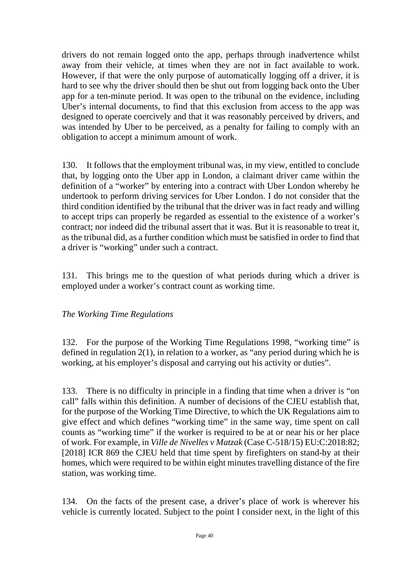drivers do not remain logged onto the app, perhaps through inadvertence whilst away from their vehicle, at times when they are not in fact available to work. However, if that were the only purpose of automatically logging off a driver, it is hard to see why the driver should then be shut out from logging back onto the Uber app for a ten-minute period. It was open to the tribunal on the evidence, including Uber's internal documents, to find that this exclusion from access to the app was designed to operate coercively and that it was reasonably perceived by drivers, and was intended by Uber to be perceived, as a penalty for failing to comply with an obligation to accept a minimum amount of work.

130. It follows that the employment tribunal was, in my view, entitled to conclude that, by logging onto the Uber app in London, a claimant driver came within the definition of a "worker" by entering into a contract with Uber London whereby he undertook to perform driving services for Uber London. I do not consider that the third condition identified by the tribunal that the driver was in fact ready and willing to accept trips can properly be regarded as essential to the existence of a worker's contract; nor indeed did the tribunal assert that it was. But it is reasonable to treat it, as the tribunal did, as a further condition which must be satisfied in order to find that a driver is "working" under such a contract.

131. This brings me to the question of what periods during which a driver is employed under a worker's contract count as working time.

# *The Working Time Regulations*

132. For the purpose of the Working Time Regulations 1998, "working time" is defined in regulation 2(1), in relation to a worker, as "any period during which he is working, at his employer's disposal and carrying out his activity or duties".

133. There is no difficulty in principle in a finding that time when a driver is "on call" falls within this definition. A number of decisions of the CJEU establish that, for the purpose of the Working Time Directive, to which the UK Regulations aim to give effect and which defines "working time" in the same way, time spent on call counts as "working time" if the worker is required to be at or near his or her place of work. For example, in *Ville de Nivelles v Matzak* (Case C-518/15) EU:C:2018:82; [2018] ICR 869 the CJEU held that time spent by firefighters on stand-by at their homes, which were required to be within eight minutes travelling distance of the fire station, was working time.

134. On the facts of the present case, a driver's place of work is wherever his vehicle is currently located. Subject to the point I consider next, in the light of this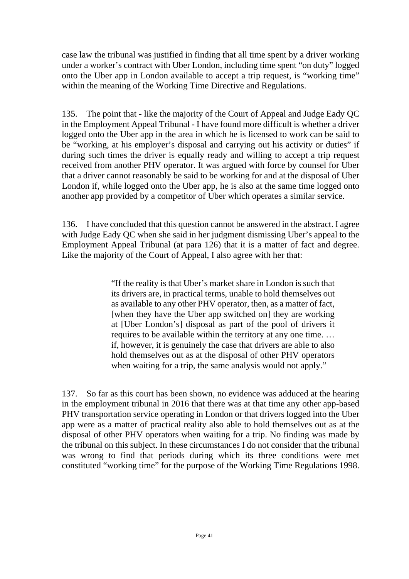case law the tribunal was justified in finding that all time spent by a driver working under a worker's contract with Uber London, including time spent "on duty" logged onto the Uber app in London available to accept a trip request, is "working time" within the meaning of the Working Time Directive and Regulations.

135. The point that - like the majority of the Court of Appeal and Judge Eady QC in the Employment Appeal Tribunal - I have found more difficult is whether a driver logged onto the Uber app in the area in which he is licensed to work can be said to be "working, at his employer's disposal and carrying out his activity or duties" if during such times the driver is equally ready and willing to accept a trip request received from another PHV operator. It was argued with force by counsel for Uber that a driver cannot reasonably be said to be working for and at the disposal of Uber London if, while logged onto the Uber app, he is also at the same time logged onto another app provided by a competitor of Uber which operates a similar service.

136. I have concluded that this question cannot be answered in the abstract. I agree with Judge Eady QC when she said in her judgment dismissing Uber's appeal to the Employment Appeal Tribunal (at para 126) that it is a matter of fact and degree. Like the majority of the Court of Appeal, I also agree with her that:

> "If the reality is that Uber's market share in London is such that its drivers are, in practical terms, unable to hold themselves out as available to any other PHV operator, then, as a matter of fact, [when they have the Uber app switched on] they are working at [Uber London's] disposal as part of the pool of drivers it requires to be available within the territory at any one time. … if, however, it is genuinely the case that drivers are able to also hold themselves out as at the disposal of other PHV operators when waiting for a trip, the same analysis would not apply."

137. So far as this court has been shown, no evidence was adduced at the hearing in the employment tribunal in 2016 that there was at that time any other app-based PHV transportation service operating in London or that drivers logged into the Uber app were as a matter of practical reality also able to hold themselves out as at the disposal of other PHV operators when waiting for a trip. No finding was made by the tribunal on this subject. In these circumstances I do not consider that the tribunal was wrong to find that periods during which its three conditions were met constituted "working time" for the purpose of the Working Time Regulations 1998.